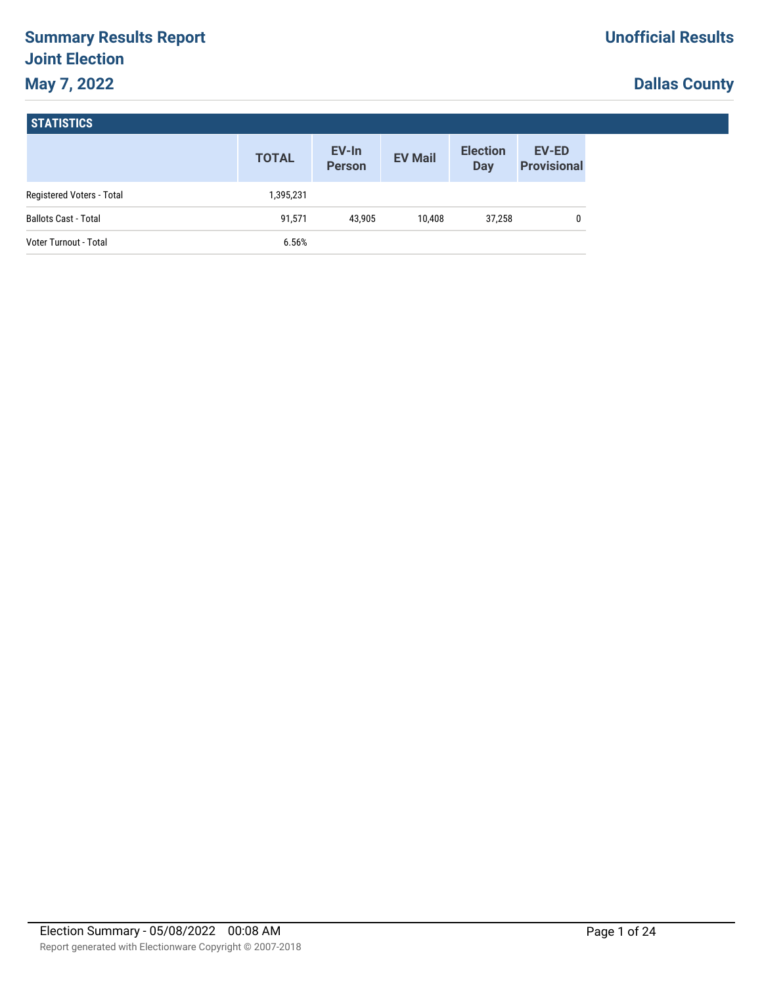# **Summary Results Report Joint Election May 7, 2022**

# **Dallas County**

|                             | <b>TOTAL</b> | EV-In<br><b>Person</b> | <b>EV Mail</b> | <b>Election</b><br><b>Day</b> | <b>EV-ED</b><br><b>Provisional</b> |
|-----------------------------|--------------|------------------------|----------------|-------------------------------|------------------------------------|
| Registered Voters - Total   | 1,395,231    |                        |                |                               |                                    |
| <b>Ballots Cast - Total</b> | 91,571       | 43.905                 | 10.408         | 37,258                        |                                    |
| Voter Turnout - Total       | 6.56%        |                        |                |                               |                                    |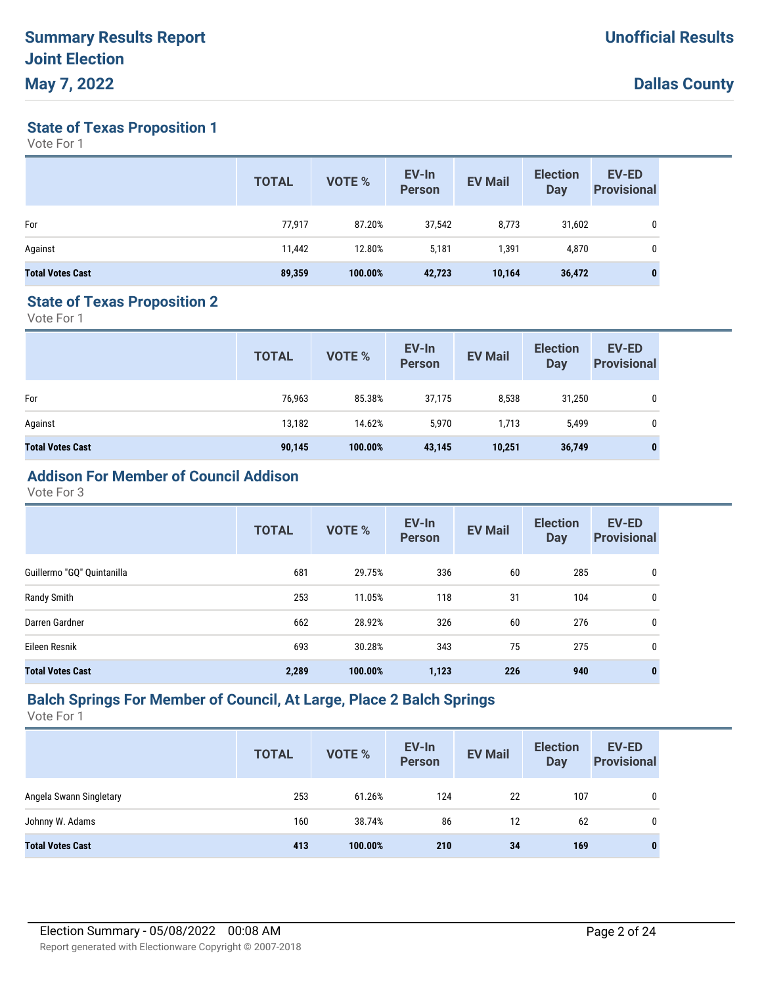**State of Texas Proposition 1**

Vote For 1

|                         | <b>TOTAL</b> | VOTE %  | EV-In<br><b>Person</b> | <b>EV Mail</b> | <b>Election</b><br>Day | <b>EV-ED</b><br><b>Provisional</b> |
|-------------------------|--------------|---------|------------------------|----------------|------------------------|------------------------------------|
| For                     | 77,917       | 87.20%  | 37,542                 | 8,773          | 31,602                 | 0                                  |
| Against                 | 11,442       | 12.80%  | 5,181                  | 1,391          | 4,870                  | 0                                  |
| <b>Total Votes Cast</b> | 89,359       | 100.00% | 42,723                 | 10,164         | 36,472                 | $\mathbf{0}$                       |

#### **State of Texas Proposition 2**

Vote For 1

|                         | <b>TOTAL</b> | VOTE %  | EV-In<br>Person | <b>EV Mail</b> | <b>Election</b><br><b>Day</b> | <b>EV-ED</b><br><b>Provisional</b> |
|-------------------------|--------------|---------|-----------------|----------------|-------------------------------|------------------------------------|
| For                     | 76,963       | 85.38%  | 37,175          | 8,538          | 31,250                        | 0                                  |
| Against                 | 13,182       | 14.62%  | 5,970           | 1,713          | 5,499                         | 0                                  |
| <b>Total Votes Cast</b> | 90,145       | 100.00% | 43,145          | 10,251         | 36,749                        | 0                                  |

# **Addison For Member of Council Addison**

Vote For 3

|                            | <b>TOTAL</b> | VOTE %  | EV-In<br><b>Person</b> | <b>EV Mail</b> | <b>Election</b><br><b>Day</b> | <b>EV-ED</b><br><b>Provisional</b> |
|----------------------------|--------------|---------|------------------------|----------------|-------------------------------|------------------------------------|
| Guillermo "GQ" Quintanilla | 681          | 29.75%  | 336                    | 60             | 285                           | 0                                  |
| Randy Smith                | 253          | 11.05%  | 118                    | 31             | 104                           | 0                                  |
| Darren Gardner             | 662          | 28.92%  | 326                    | 60             | 276                           | 0                                  |
| Eileen Resnik              | 693          | 30.28%  | 343                    | 75             | 275                           | 0                                  |
| <b>Total Votes Cast</b>    | 2,289        | 100.00% | 1,123                  | 226            | 940                           | $\bf{0}$                           |

## **Balch Springs For Member of Council, At Large, Place 2 Balch Springs**

|                         | <b>TOTAL</b> | VOTE %  | EV-In<br><b>Person</b> | <b>EV Mail</b> | <b>Election</b><br>Day | <b>EV-ED</b><br><b>Provisional</b> |
|-------------------------|--------------|---------|------------------------|----------------|------------------------|------------------------------------|
| Angela Swann Singletary | 253          | 61.26%  | 124                    | 22             | 107                    | 0                                  |
| Johnny W. Adams         | 160          | 38.74%  | 86                     | 12             | 62                     | 0                                  |
| <b>Total Votes Cast</b> | 413          | 100.00% | 210                    | 34             | 169                    | 0                                  |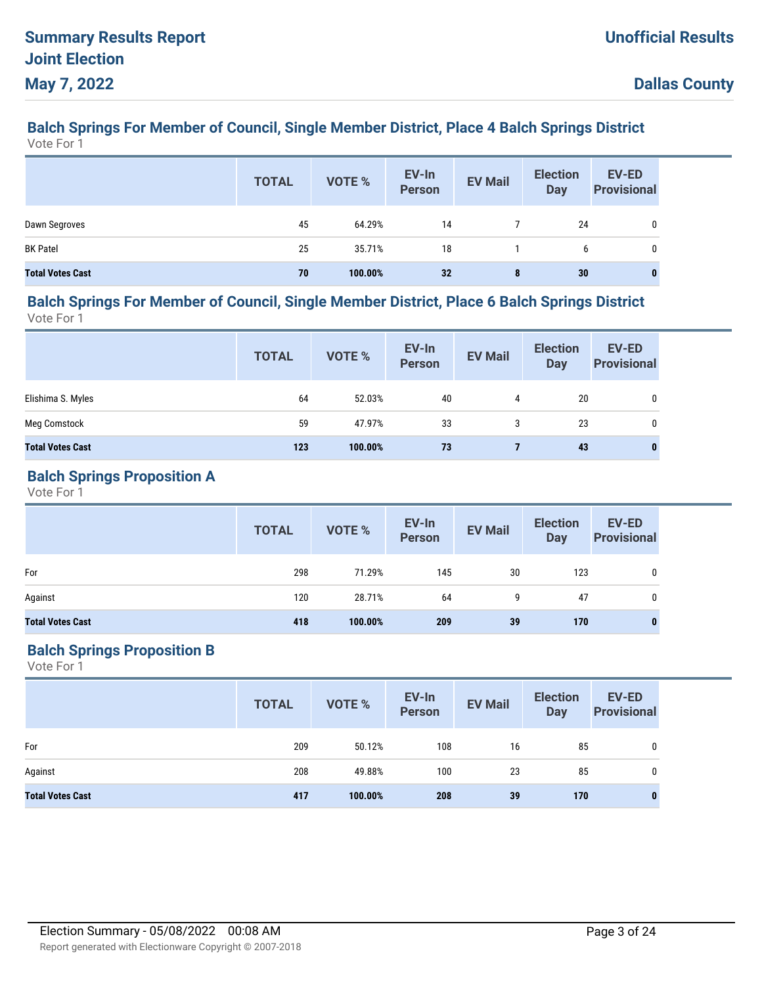#### **Balch Springs For Member of Council, Single Member District, Place 4 Balch Springs District** Vote For 1

|                         | <b>TOTAL</b> | VOTE %  | EV-In<br>Person | <b>EV Mail</b> | <b>Election</b><br><b>Day</b> | EV-ED<br><b>Provisional</b> |
|-------------------------|--------------|---------|-----------------|----------------|-------------------------------|-----------------------------|
| Dawn Segroves           | 45           | 64.29%  | 14              |                | 24                            |                             |
| <b>BK Patel</b>         | 25           | 35.71%  | 18              |                | 6                             |                             |
| <b>Total Votes Cast</b> | 70           | 100.00% | 32              | 8              | 30                            | 0                           |

#### **Balch Springs For Member of Council, Single Member District, Place 6 Balch Springs District** Vote For 1

|                         | <b>TOTAL</b> | VOTE %  | EV-In<br>Person | <b>EV Mail</b> | <b>Election</b><br><b>Day</b> | EV-ED<br><b>Provisional</b> |
|-------------------------|--------------|---------|-----------------|----------------|-------------------------------|-----------------------------|
| Elishima S. Myles       | 64           | 52.03%  | 40              | 4              | 20                            | 0                           |
| Meg Comstock            | 59           | 47.97%  | 33              | 3              | 23                            | 0                           |
| <b>Total Votes Cast</b> | 123          | 100.00% | 73              |                | 43                            | 0                           |

#### **Balch Springs Proposition A**

Vote For 1

|                         | <b>TOTAL</b> | VOTE %  | EV-In<br>Person | <b>EV Mail</b> | <b>Election</b><br><b>Day</b> | <b>EV-ED</b><br><b>Provisional</b> |
|-------------------------|--------------|---------|-----------------|----------------|-------------------------------|------------------------------------|
| For                     | 298          | 71.29%  | 145             | 30             | 123                           | 0                                  |
| Against                 | 120          | 28.71%  | 64              | 9              | 47                            | 0                                  |
| <b>Total Votes Cast</b> | 418          | 100.00% | 209             | 39             | 170                           |                                    |

## **Balch Springs Proposition B**

|                         | <b>TOTAL</b> | VOTE %  | EV-In<br>Person | <b>EV Mail</b> | <b>Election</b><br><b>Day</b> | <b>EV-ED</b><br><b>Provisional</b> |
|-------------------------|--------------|---------|-----------------|----------------|-------------------------------|------------------------------------|
| For                     | 209          | 50.12%  | 108             | 16             | 85                            |                                    |
| Against                 | 208          | 49.88%  | 100             | 23             | 85                            | 0                                  |
| <b>Total Votes Cast</b> | 417          | 100.00% | 208             | 39             | 170                           |                                    |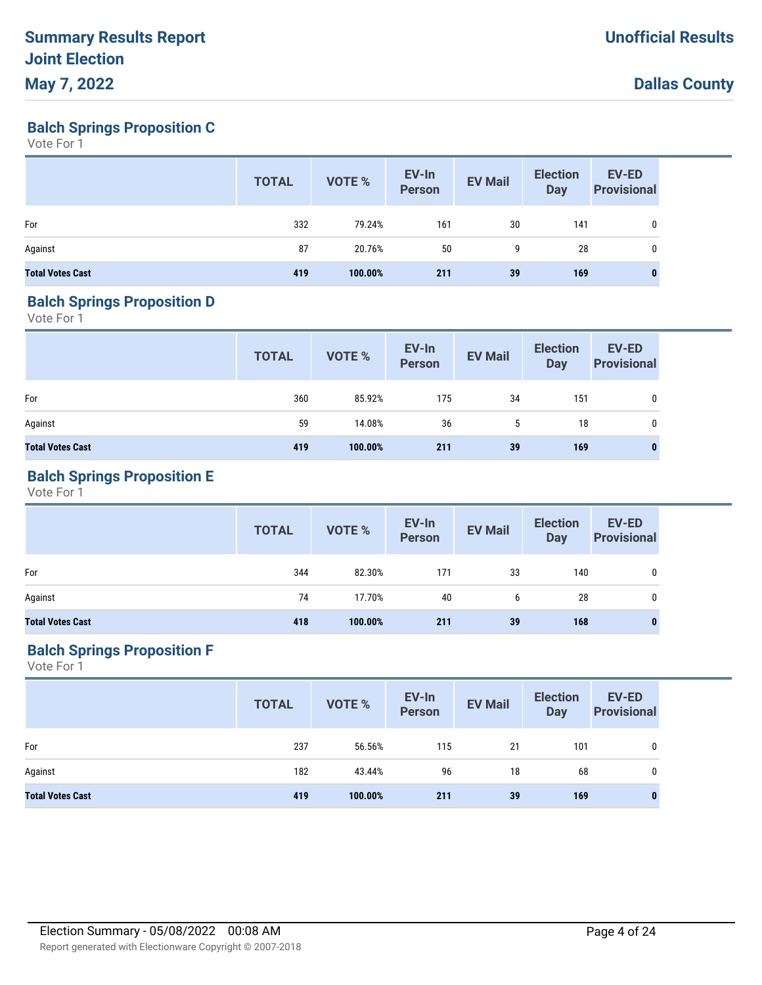**Balch Springs Proposition C**

Vote For 1

|                         | <b>TOTAL</b> | VOTE %  | EV-In<br>Person | <b>EV Mail</b> | <b>Election</b><br><b>Day</b> | EV-ED<br><b>Provisional</b> |
|-------------------------|--------------|---------|-----------------|----------------|-------------------------------|-----------------------------|
| For                     | 332          | 79.24%  | 161             | 30             | 141                           | 0                           |
| Against                 | 87           | 20.76%  | 50              | 9              | 28                            | 0                           |
| <b>Total Votes Cast</b> | 419          | 100.00% | 211             | 39             | 169                           |                             |

#### **Balch Springs Proposition D**

Vote For 1

|                         | <b>TOTAL</b> | VOTE %  | EV-In<br>Person | <b>EV Mail</b> | <b>Election</b><br><b>Day</b> | <b>EV-ED</b><br><b>Provisional</b> |
|-------------------------|--------------|---------|-----------------|----------------|-------------------------------|------------------------------------|
| For                     | 360          | 85.92%  | 175             | 34             | 151                           | 0                                  |
| Against                 | 59           | 14.08%  | 36              | 5              | 18                            | 0                                  |
| <b>Total Votes Cast</b> | 419          | 100.00% | 211             | 39             | 169                           | 0                                  |

## **Balch Springs Proposition E**

Vote For 1

|                         | <b>TOTAL</b> | VOTE %  | EV-In<br>Person | <b>EV Mail</b> | <b>Election</b><br><b>Day</b> | <b>EV-ED</b><br><b>Provisional</b> |
|-------------------------|--------------|---------|-----------------|----------------|-------------------------------|------------------------------------|
| For                     | 344          | 82.30%  | 171             | 33             | 140                           |                                    |
| Against                 | 74           | 17.70%  | 40              | 6              | 28                            |                                    |
| <b>Total Votes Cast</b> | 418          | 100.00% | 211             | 39             | 168                           |                                    |

## **Balch Springs Proposition F**

|                         | <b>TOTAL</b> | VOTE %  | EV-In<br>Person | <b>EV Mail</b> | <b>Election</b><br><b>Day</b> | <b>EV-ED</b><br><b>Provisional</b> |
|-------------------------|--------------|---------|-----------------|----------------|-------------------------------|------------------------------------|
| For                     | 237          | 56.56%  | 115             | 21             | 101                           | 0                                  |
| Against                 | 182          | 43.44%  | 96              | 18             | 68                            | 0                                  |
| <b>Total Votes Cast</b> | 419          | 100.00% | 211             | 39             | 169                           | 0                                  |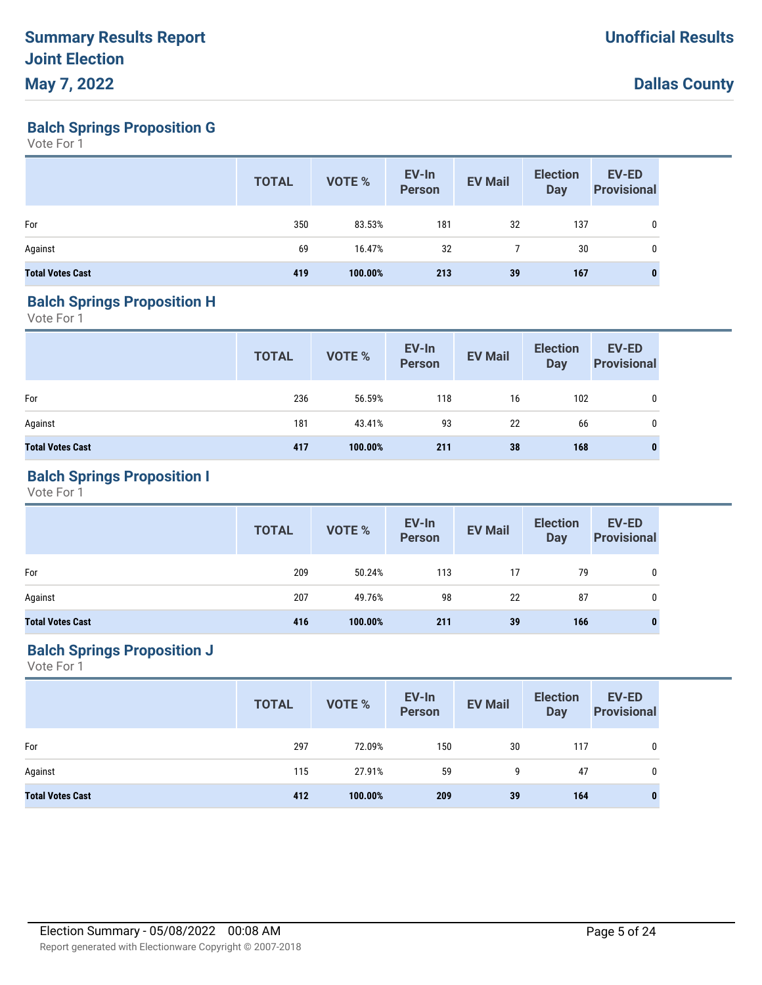**Balch Springs Proposition G**

Vote For 1

|                         | <b>TOTAL</b> | VOTE %  | EV-In<br>Person | <b>EV Mail</b> | <b>Election</b><br>Day | EV-ED<br><b>Provisional</b> |
|-------------------------|--------------|---------|-----------------|----------------|------------------------|-----------------------------|
| For                     | 350          | 83.53%  | 181             | 32             | 137                    | 0                           |
| Against                 | 69           | 16.47%  | 32              |                | 30                     | $\mathbf{0}$                |
| <b>Total Votes Cast</b> | 419          | 100.00% | 213             | 39             | 167                    |                             |

#### **Balch Springs Proposition H**

Vote For 1

|                         | <b>TOTAL</b> | VOTE %  | EV-In<br>Person | <b>EV Mail</b> | <b>Election</b><br><b>Day</b> | EV-ED<br><b>Provisional</b> |
|-------------------------|--------------|---------|-----------------|----------------|-------------------------------|-----------------------------|
| For                     | 236          | 56.59%  | 118             | 16             | 102                           | 0                           |
| Against                 | 181          | 43.41%  | 93              | 22             | 66                            | 0                           |
| <b>Total Votes Cast</b> | 417          | 100.00% | 211             | 38             | 168                           | 0                           |

## **Balch Springs Proposition I**

Vote For 1

|                         | <b>TOTAL</b> | <b>VOTE %</b> | EV-In<br>Person | <b>EV Mail</b> | <b>Election</b><br><b>Day</b> | <b>EV-ED</b><br><b>Provisional</b> |
|-------------------------|--------------|---------------|-----------------|----------------|-------------------------------|------------------------------------|
| For                     | 209          | 50.24%        | 113             | 17             | 79                            | 0                                  |
| Against                 | 207          | 49.76%        | 98              | 22             | 87                            | 0                                  |
| <b>Total Votes Cast</b> | 416          | 100.00%       | 211             | 39             | 166                           | 0                                  |

## **Balch Springs Proposition J**

|                         | <b>TOTAL</b> | VOTE %  | EV-In<br>Person | <b>EV Mail</b> | <b>Election</b><br><b>Day</b> | <b>EV-ED</b><br><b>Provisional</b> |
|-------------------------|--------------|---------|-----------------|----------------|-------------------------------|------------------------------------|
| For                     | 297          | 72.09%  | 150             | 30             | 117                           | 0                                  |
| Against                 | 115          | 27.91%  | 59              | 9              | 47                            | 0                                  |
| <b>Total Votes Cast</b> | 412          | 100.00% | 209             | 39             | 164                           | 0                                  |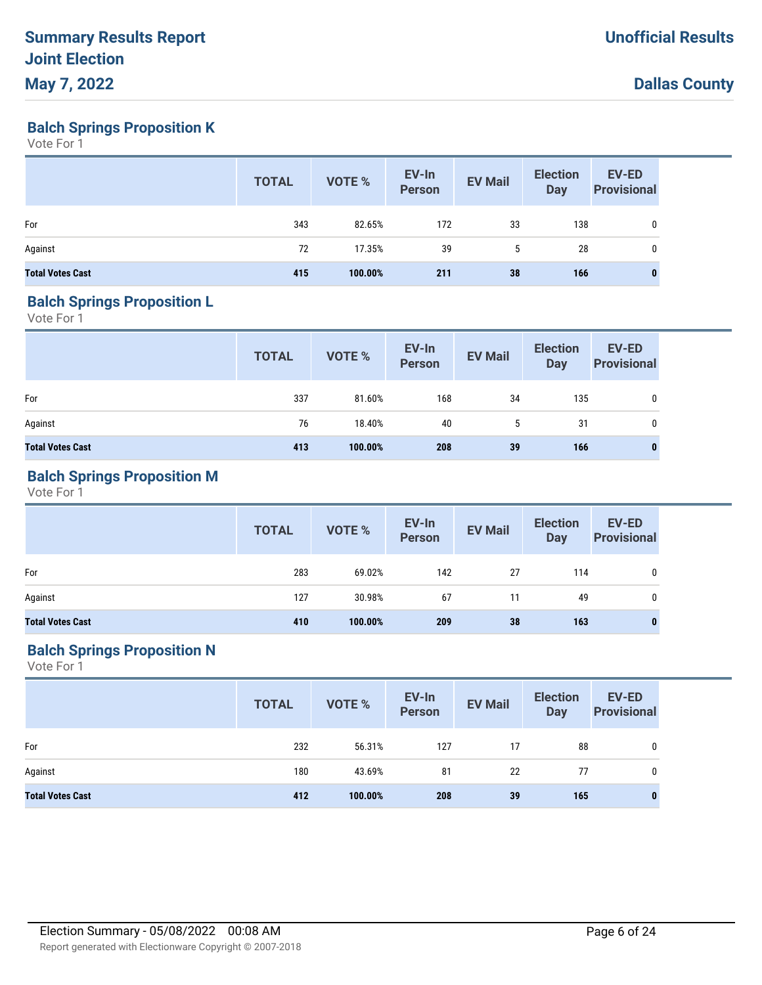**Balch Springs Proposition K**

Vote For 1

|                         | <b>TOTAL</b> | VOTE %  | EV-In<br>Person | <b>EV Mail</b> | <b>Election</b><br><b>Day</b> | EV-ED<br><b>Provisional</b> |
|-------------------------|--------------|---------|-----------------|----------------|-------------------------------|-----------------------------|
| For                     | 343          | 82.65%  | 172             | 33             | 138                           | 0                           |
| Against                 | 72           | 17.35%  | 39              | 5              | 28                            | 0                           |
| <b>Total Votes Cast</b> | 415          | 100.00% | 211             | 38             | 166                           |                             |

#### **Balch Springs Proposition L**

Vote For 1

|                         | <b>TOTAL</b> | VOTE %  | EV-In<br>Person | <b>EV Mail</b> | <b>Election</b><br>Day | <b>EV-ED</b><br><b>Provisional</b> |
|-------------------------|--------------|---------|-----------------|----------------|------------------------|------------------------------------|
| For                     | 337          | 81.60%  | 168             | 34             | 135                    | 0                                  |
| Against                 | 76           | 18.40%  | 40              | 5              | 31                     | 0                                  |
| <b>Total Votes Cast</b> | 413          | 100.00% | 208             | 39             | 166                    | $\bf{0}$                           |

## **Balch Springs Proposition M**

Vote For 1

|                         | <b>TOTAL</b> | <b>VOTE %</b> | EV-In<br>Person | <b>EV Mail</b> | <b>Election</b><br><b>Day</b> | <b>EV-ED</b><br><b>Provisional</b> |
|-------------------------|--------------|---------------|-----------------|----------------|-------------------------------|------------------------------------|
| For                     | 283          | 69.02%        | 142             | 27             | 114                           | 0                                  |
| Against                 | 127          | 30.98%        | 67              | 11             | 49                            |                                    |
| <b>Total Votes Cast</b> | 410          | 100.00%       | 209             | 38             | 163                           |                                    |

## **Balch Springs Proposition N**

|                         | <b>TOTAL</b> | VOTE %  | EV-In<br>Person | <b>EV Mail</b> | <b>Election</b><br><b>Day</b> | <b>EV-ED</b><br><b>Provisional</b> |
|-------------------------|--------------|---------|-----------------|----------------|-------------------------------|------------------------------------|
| For                     | 232          | 56.31%  | 127             | 17             | 88                            | 0                                  |
| Against                 | 180          | 43.69%  | 81              | 22             | 77                            | 0                                  |
| <b>Total Votes Cast</b> | 412          | 100.00% | 208             | 39             | 165                           | 0                                  |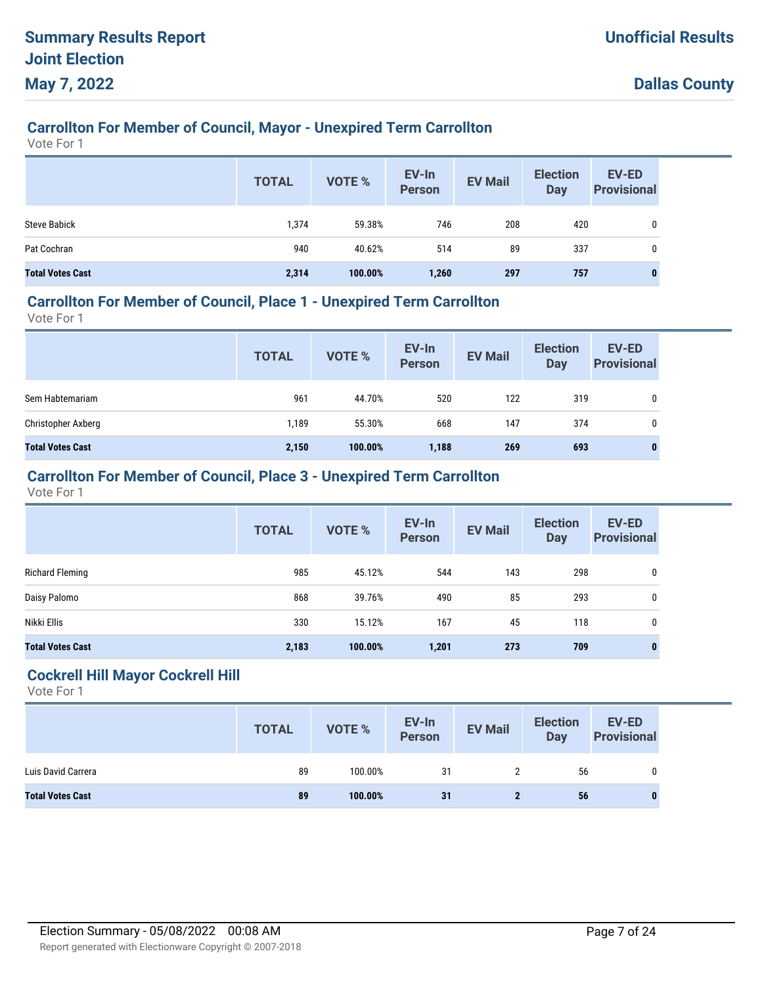# **Carrollton For Member of Council, Mayor - Unexpired Term Carrollton**

Vote For 1

|                         | <b>TOTAL</b> | <b>VOTE %</b> | EV-In<br><b>Person</b> | <b>EV Mail</b> | <b>Election</b><br><b>Day</b> | <b>EV-ED</b><br><b>Provisional</b> |
|-------------------------|--------------|---------------|------------------------|----------------|-------------------------------|------------------------------------|
| <b>Steve Babick</b>     | 1,374        | 59.38%        | 746                    | 208            | 420                           |                                    |
| Pat Cochran             | 940          | 40.62%        | 514                    | 89             | 337                           |                                    |
| <b>Total Votes Cast</b> | 2,314        | 100.00%       | 1,260                  | 297            | 757                           | $\bf{0}$                           |

### **Carrollton For Member of Council, Place 1 - Unexpired Term Carrollton**

Vote For 1

|                         | <b>TOTAL</b> | <b>VOTE %</b> | EV-In<br><b>Person</b> | <b>EV Mail</b> | <b>Election</b><br><b>Day</b> | <b>EV-ED</b><br><b>Provisional</b> |
|-------------------------|--------------|---------------|------------------------|----------------|-------------------------------|------------------------------------|
| Sem Habtemariam         | 961          | 44.70%        | 520                    | 122            | 319                           | 0                                  |
| Christopher Axberg      | 1,189        | 55.30%        | 668                    | 147            | 374                           | 0                                  |
| <b>Total Votes Cast</b> | 2,150        | 100.00%       | 1,188                  | 269            | 693                           | $\bf{0}$                           |

## **Carrollton For Member of Council, Place 3 - Unexpired Term Carrollton**

Vote For 1

|                         | <b>TOTAL</b> | <b>VOTE %</b> | EV-In<br><b>Person</b> | <b>EV Mail</b> | <b>Election</b><br><b>Day</b> | <b>EV-ED</b><br><b>Provisional</b> |
|-------------------------|--------------|---------------|------------------------|----------------|-------------------------------|------------------------------------|
| Richard Fleming         | 985          | 45.12%        | 544                    | 143            | 298                           | 0                                  |
| Daisy Palomo            | 868          | 39.76%        | 490                    | 85             | 293                           | 0                                  |
| Nikki Ellis             | 330          | 15.12%        | 167                    | 45             | 118                           | $\mathbf 0$                        |
| <b>Total Votes Cast</b> | 2,183        | 100.00%       | 1,201                  | 273            | 709                           | 0                                  |

#### **Cockrell Hill Mayor Cockrell Hill**

|                         | <b>TOTAL</b> | <b>VOTE %</b> | EV-In<br>Person | <b>EV Mail</b> | <b>Election</b><br><b>Day</b> | EV-ED<br><b>Provisional</b> |
|-------------------------|--------------|---------------|-----------------|----------------|-------------------------------|-----------------------------|
| Luis David Carrera      | 89           | 100.00%       | 31              |                | 56                            | 0                           |
| <b>Total Votes Cast</b> | 89           | 100.00%       | 31              |                | 56                            |                             |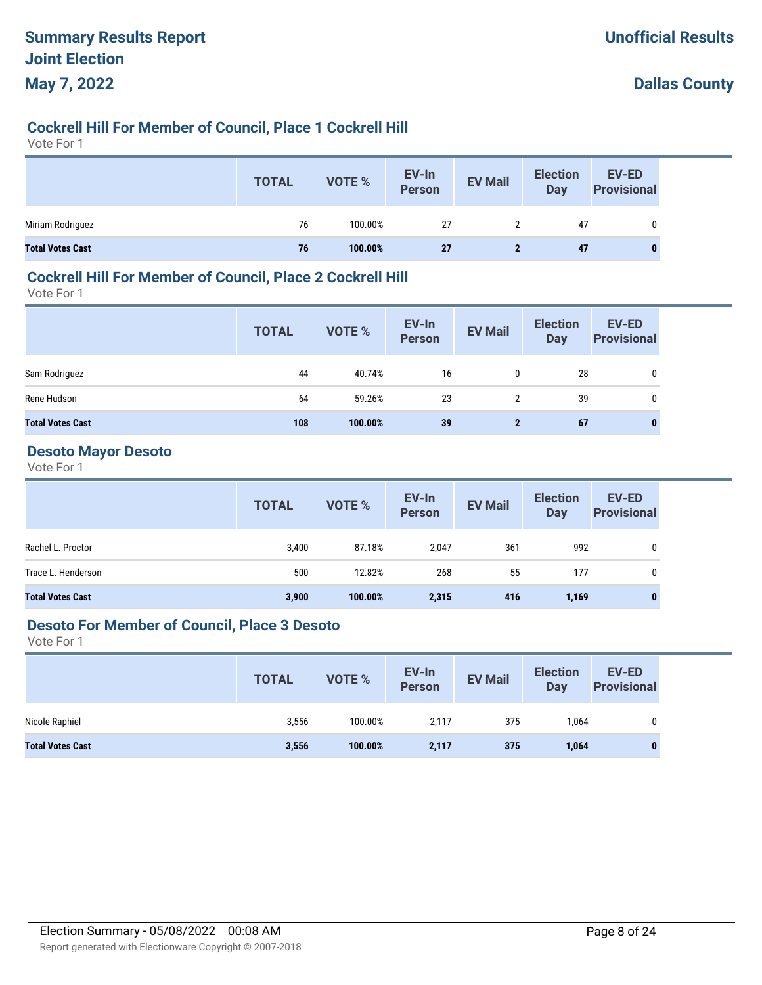# **Cockrell Hill For Member of Council, Place 1 Cockrell Hill**

Vote For 1

|                         | <b>TOTAL</b> | VOTE %  | EV-In<br>Person | <b>EV Mail</b> | <b>Election</b><br>Day | EV-ED<br><b>Provisional</b> |
|-------------------------|--------------|---------|-----------------|----------------|------------------------|-----------------------------|
| Miriam Rodriguez        | 76           | 100.00% | 27              | 2              | 47                     |                             |
| <b>Total Votes Cast</b> | 76           | 100.00% | 27              |                | 47                     | 0                           |

### **Cockrell Hill For Member of Council, Place 2 Cockrell Hill**

Vote For 1

|                         | <b>TOTAL</b> | VOTE %  | EV-In<br>Person | <b>EV Mail</b> | <b>Election</b><br>Day | <b>EV-ED</b><br><b>Provisional</b> |
|-------------------------|--------------|---------|-----------------|----------------|------------------------|------------------------------------|
| Sam Rodriguez           | 44           | 40.74%  | 16              | 0              | 28                     | 0                                  |
| Rene Hudson             | 64           | 59.26%  | 23              | $\overline{2}$ | 39                     | 0                                  |
| <b>Total Votes Cast</b> | 108          | 100.00% | 39              | $\mathbf{2}$   | 67                     | 0                                  |

#### **Desoto Mayor Desoto**

Vote For 1

|                         | <b>TOTAL</b> | <b>VOTE %</b> | EV-In<br>Person | <b>EV Mail</b> | <b>Election</b><br><b>Day</b> | <b>EV-ED</b><br><b>Provisional</b> |
|-------------------------|--------------|---------------|-----------------|----------------|-------------------------------|------------------------------------|
| Rachel L. Proctor       | 3,400        | 87.18%        | 2,047           | 361            | 992                           | 0                                  |
| Trace L. Henderson      | 500          | 12.82%        | 268             | 55             | 177                           | $\mathbf{0}$                       |
| <b>Total Votes Cast</b> | 3,900        | 100.00%       | 2,315           | 416            | 1,169                         | $\bf{0}$                           |

#### **Desoto For Member of Council, Place 3 Desoto**

|                         | <b>TOTAL</b> | VOTE %  | EV-In<br><b>Person</b> | <b>EV Mail</b> | <b>Election</b><br>Day | <b>EV-ED</b><br><b>Provisional</b> |
|-------------------------|--------------|---------|------------------------|----------------|------------------------|------------------------------------|
| Nicole Raphiel          | 3,556        | 100.00% | 2,117                  | 375            | 1,064                  | 0                                  |
| <b>Total Votes Cast</b> | 3,556        | 100.00% | 2,117                  | 375            | 1,064                  |                                    |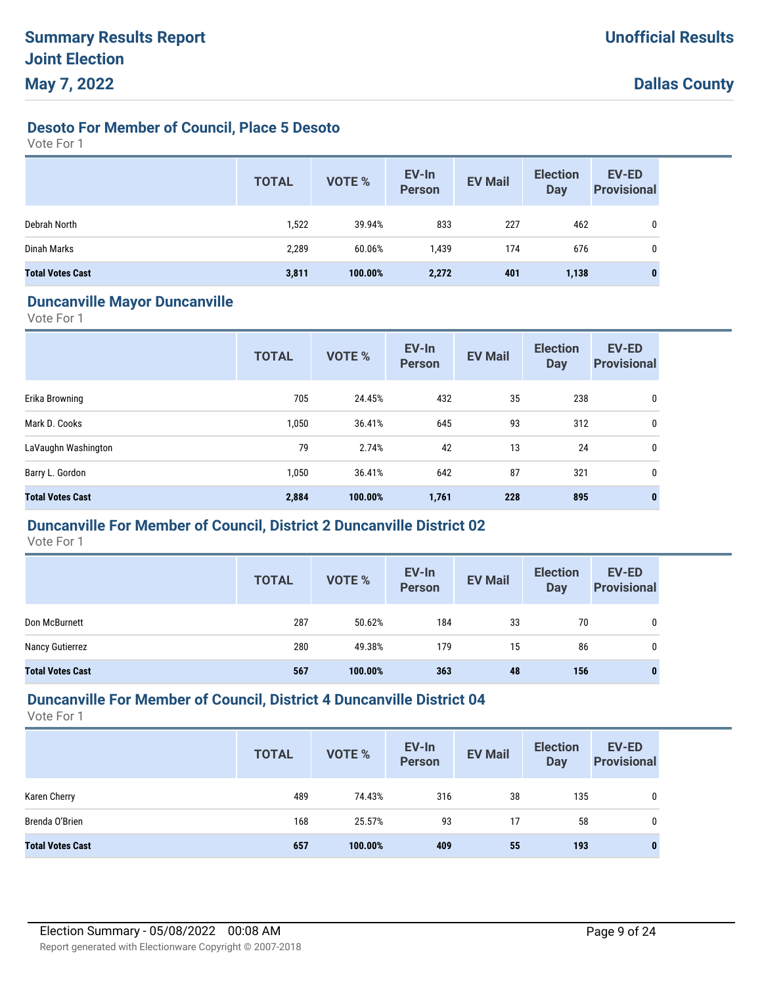## **Desoto For Member of Council, Place 5 Desoto**

Vote For 1

|                         | <b>TOTAL</b> | <b>VOTE %</b> | EV-In<br><b>Person</b> | <b>EV Mail</b> | <b>Election</b><br><b>Day</b> | EV-ED<br><b>Provisional</b> |
|-------------------------|--------------|---------------|------------------------|----------------|-------------------------------|-----------------------------|
| Debrah North            | 1,522        | 39.94%        | 833                    | 227            | 462                           | 0                           |
| Dinah Marks             | 2,289        | 60.06%        | 1,439                  | 174            | 676                           | 0                           |
| <b>Total Votes Cast</b> | 3,811        | 100.00%       | 2,272                  | 401            | 1,138                         | 0                           |

#### **Duncanville Mayor Duncanville**

Vote For 1

|                         | <b>TOTAL</b> | VOTE %  | EV-In<br><b>Person</b> | <b>EV Mail</b> | <b>Election</b><br><b>Day</b> | <b>EV-ED</b><br><b>Provisional</b> |
|-------------------------|--------------|---------|------------------------|----------------|-------------------------------|------------------------------------|
| Erika Browning          | 705          | 24.45%  | 432                    | 35             | 238                           | 0                                  |
| Mark D. Cooks           | 1,050        | 36.41%  | 645                    | 93             | 312                           | 0                                  |
| LaVaughn Washington     | 79           | 2.74%   | 42                     | 13             | 24                            | 0                                  |
| Barry L. Gordon         | 1,050        | 36.41%  | 642                    | 87             | 321                           | 0                                  |
| <b>Total Votes Cast</b> | 2,884        | 100.00% | 1,761                  | 228            | 895                           | $\bf{0}$                           |

## **Duncanville For Member of Council, District 2 Duncanville District 02**

Vote For 1

|                         | <b>TOTAL</b> | <b>VOTE %</b> | EV-In<br><b>Person</b> | <b>EV Mail</b> | <b>Election</b><br><b>Day</b> | <b>EV-ED</b><br><b>Provisional</b> |
|-------------------------|--------------|---------------|------------------------|----------------|-------------------------------|------------------------------------|
| Don McBurnett           | 287          | 50.62%        | 184                    | 33             | 70                            | 0                                  |
| Nancy Gutierrez         | 280          | 49.38%        | 179                    | 15             | 86                            | 0                                  |
| <b>Total Votes Cast</b> | 567          | 100.00%       | 363                    | 48             | 156                           |                                    |

## **Duncanville For Member of Council, District 4 Duncanville District 04**

|                         | <b>TOTAL</b> | <b>VOTE %</b> | EV-In<br><b>Person</b> | <b>EV Mail</b> | <b>Election</b><br><b>Day</b> | <b>EV-ED</b><br><b>Provisional</b> |
|-------------------------|--------------|---------------|------------------------|----------------|-------------------------------|------------------------------------|
| Karen Cherry            | 489          | 74.43%        | 316                    | 38             | 135                           | 0                                  |
| Brenda O'Brien          | 168          | 25.57%        | 93                     | 17             | 58                            | 0                                  |
| <b>Total Votes Cast</b> | 657          | 100.00%       | 409                    | 55             | 193                           | $\bf{0}$                           |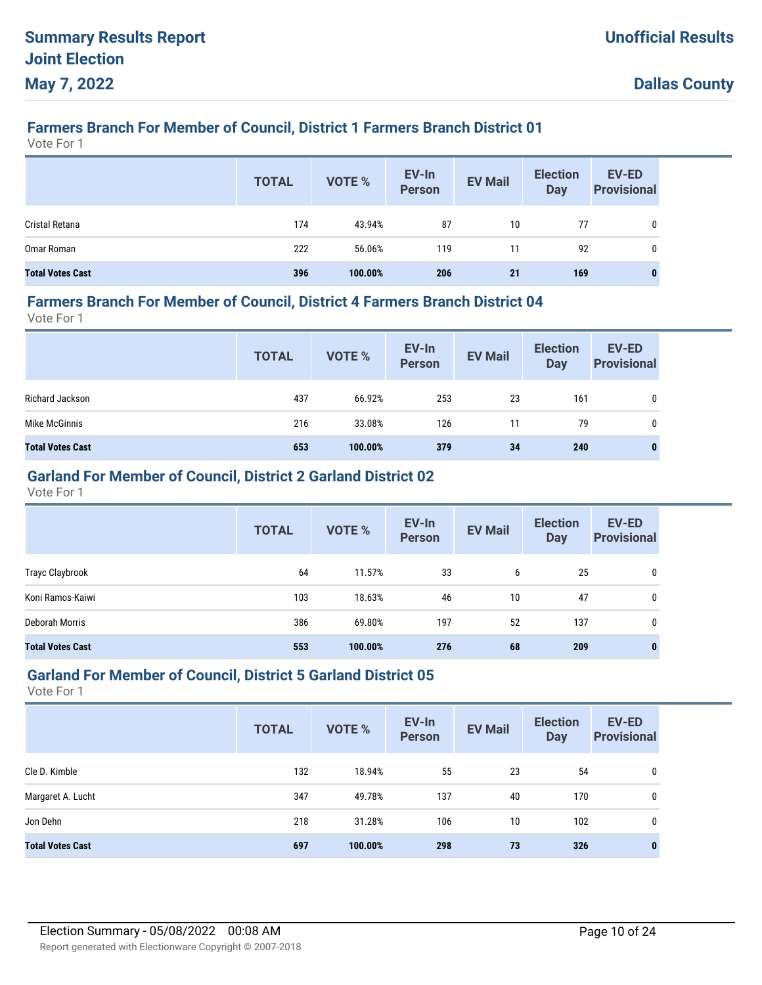# **Farmers Branch For Member of Council, District 1 Farmers Branch District 01**

Vote For 1

|                         | <b>TOTAL</b> | VOTE %  | EV-In<br>Person | <b>EV Mail</b> | <b>Election</b><br>Day | <b>EV-ED</b><br><b>Provisional</b> |
|-------------------------|--------------|---------|-----------------|----------------|------------------------|------------------------------------|
| Cristal Retana          | 174          | 43.94%  | 87              | 10             | 77                     | 0                                  |
| Omar Roman              | 222          | 56.06%  | 119             | 11             | 92                     | 0                                  |
| <b>Total Votes Cast</b> | 396          | 100.00% | 206             | 21             | 169                    | 0                                  |

#### **Farmers Branch For Member of Council, District 4 Farmers Branch District 04**

Vote For 1

|                         | <b>TOTAL</b> | VOTE %  | EV-In<br>Person | <b>EV Mail</b> | <b>Election</b><br><b>Day</b> | <b>EV-ED</b><br><b>Provisional</b> |
|-------------------------|--------------|---------|-----------------|----------------|-------------------------------|------------------------------------|
| Richard Jackson         | 437          | 66.92%  | 253             | 23             | 161                           | 0                                  |
| Mike McGinnis           | 216          | 33.08%  | 126             | 11             | 79                            | 0                                  |
| <b>Total Votes Cast</b> | 653          | 100.00% | 379             | 34             | 240                           | $\bf{0}$                           |

## **Garland For Member of Council, District 2 Garland District 02**

Vote For 1

|                         | <b>TOTAL</b> | <b>VOTE %</b> | EV-In<br><b>Person</b> | <b>EV Mail</b> | <b>Election</b><br><b>Day</b> | <b>EV-ED</b><br><b>Provisional</b> |
|-------------------------|--------------|---------------|------------------------|----------------|-------------------------------|------------------------------------|
| Trayc Claybrook         | 64           | 11.57%        | 33                     | 6              | 25                            | 0                                  |
| Koni Ramos-Kaiwi        | 103          | 18.63%        | 46                     | 10             | 47                            | 0                                  |
| Deborah Morris          | 386          | 69.80%        | 197                    | 52             | 137                           | 0                                  |
| <b>Total Votes Cast</b> | 553          | 100.00%       | 276                    | 68             | 209                           | $\bf{0}$                           |

#### **Garland For Member of Council, District 5 Garland District 05**

|                         | <b>TOTAL</b> | <b>VOTE %</b> | EV-In<br><b>Person</b> | <b>EV Mail</b> | <b>Election</b><br><b>Day</b> | EV-ED<br><b>Provisional</b> |
|-------------------------|--------------|---------------|------------------------|----------------|-------------------------------|-----------------------------|
| Cle D. Kimble           | 132          | 18.94%        | 55                     | 23             | 54                            | 0                           |
| Margaret A. Lucht       | 347          | 49.78%        | 137                    | 40             | 170                           | 0                           |
| Jon Dehn                | 218          | 31.28%        | 106                    | 10             | 102                           | 0                           |
| <b>Total Votes Cast</b> | 697          | 100.00%       | 298                    | 73             | 326                           | $\bf{0}$                    |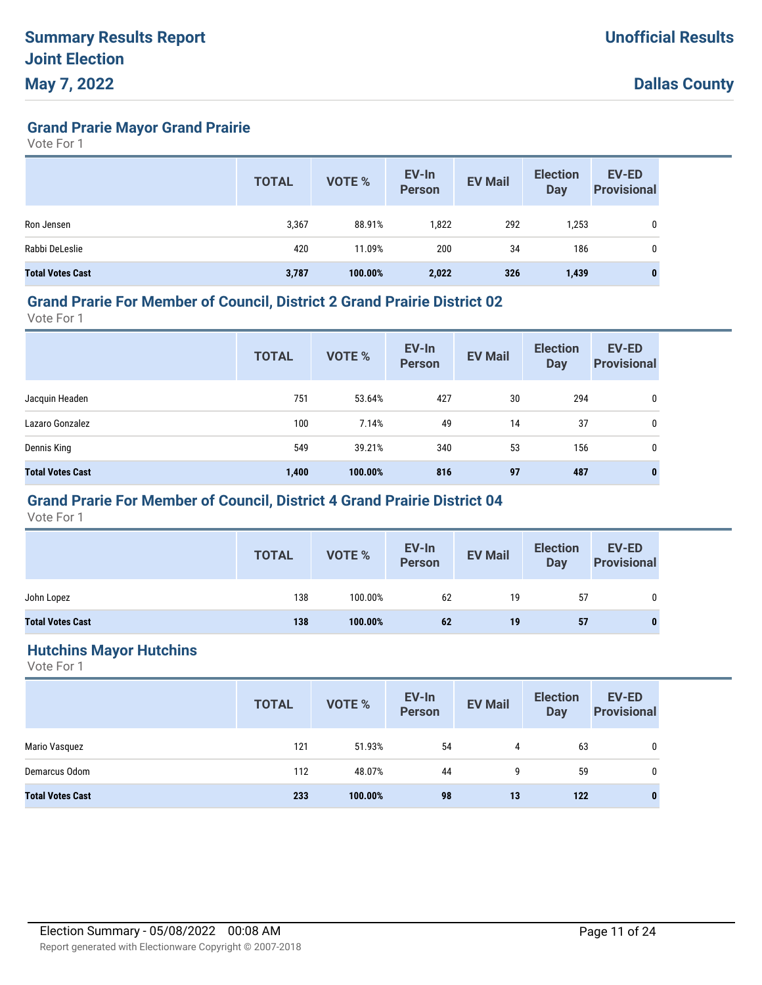**Grand Prarie Mayor Grand Prairie**

Vote For 1

|                         | <b>TOTAL</b> | <b>VOTE %</b> | EV-In<br><b>Person</b> | <b>EV Mail</b> | <b>Election</b><br>Day | <b>EV-ED</b><br><b>Provisional</b> |
|-------------------------|--------------|---------------|------------------------|----------------|------------------------|------------------------------------|
| Ron Jensen              | 3,367        | 88.91%        | 1,822                  | 292            | 1,253                  | 0                                  |
| Rabbi DeLeslie          | 420          | 11.09%        | 200                    | 34             | 186                    | 0                                  |
| <b>Total Votes Cast</b> | 3,787        | 100.00%       | 2,022                  | 326            | 1,439                  | $\mathbf{0}$                       |

#### **Grand Prarie For Member of Council, District 2 Grand Prairie District 02**

Vote For 1

|                         | <b>TOTAL</b> | <b>VOTE %</b> | EV-In<br><b>Person</b> | <b>EV Mail</b> | <b>Election</b><br><b>Day</b> | EV-ED<br><b>Provisional</b> |
|-------------------------|--------------|---------------|------------------------|----------------|-------------------------------|-----------------------------|
| Jacquin Headen          | 751          | 53.64%        | 427                    | 30             | 294                           | 0                           |
| Lazaro Gonzalez         | 100          | 7.14%         | 49                     | 14             | 37                            | $\mathbf 0$                 |
| Dennis King             | 549          | 39.21%        | 340                    | 53             | 156                           | $\mathbf 0$                 |
| <b>Total Votes Cast</b> | 1,400        | 100.00%       | 816                    | 97             | 487                           | 0                           |

## **Grand Prarie For Member of Council, District 4 Grand Prairie District 04**

Vote For 1

|                         | <b>TOTAL</b> | <b>VOTE %</b> | EV-In<br>Person | <b>EV Mail</b> | <b>Election</b><br><b>Day</b> | <b>EV-ED</b><br><b>Provisional</b> |
|-------------------------|--------------|---------------|-----------------|----------------|-------------------------------|------------------------------------|
| John Lopez              | 138          | 100.00%       | 62              | 19             | 57                            | 0                                  |
| <b>Total Votes Cast</b> | 138          | 100.00%       | 62              | 19             | 57                            |                                    |

#### **Hutchins Mayor Hutchins**

|                         | <b>TOTAL</b> | VOTE %  | EV-In<br>Person | <b>EV Mail</b> | <b>Election</b><br><b>Day</b> | <b>EV-ED</b><br><b>Provisional</b> |
|-------------------------|--------------|---------|-----------------|----------------|-------------------------------|------------------------------------|
| Mario Vasquez           | 121          | 51.93%  | 54              | 4              | 63                            | 0                                  |
| Demarcus Odom           | 112          | 48.07%  | 44              | 9              | 59                            | 0                                  |
| <b>Total Votes Cast</b> | 233          | 100.00% | 98              | 13             | 122                           | 0                                  |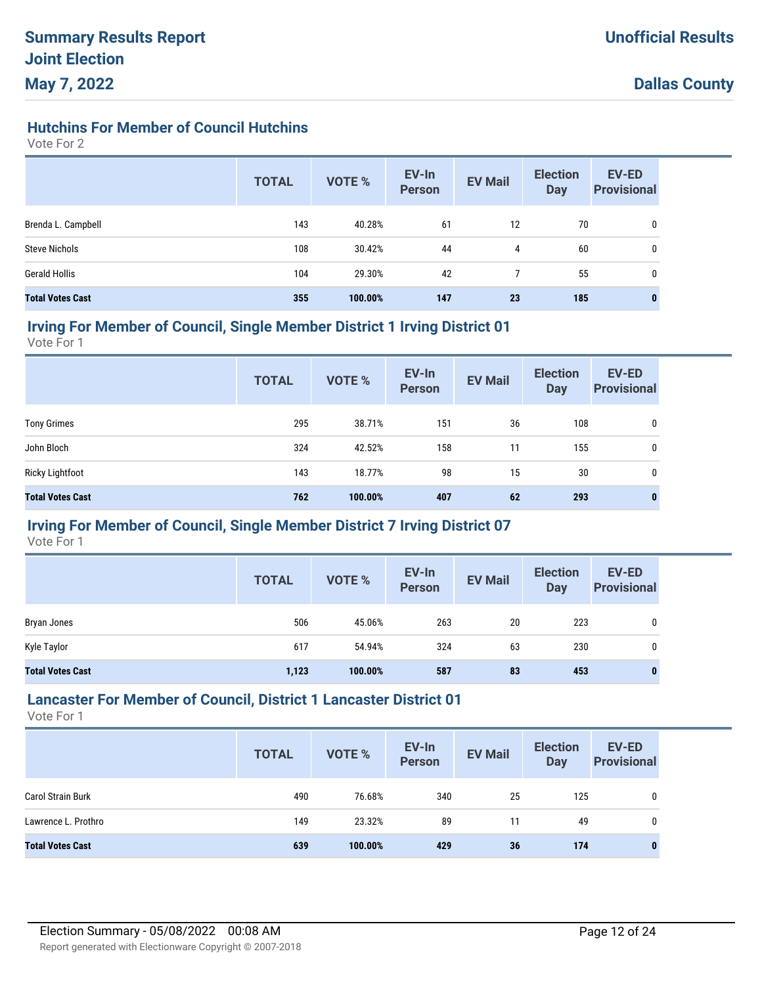## **Hutchins For Member of Council Hutchins**

Vote For 2

|                         | <b>TOTAL</b> | <b>VOTE %</b> | EV-In<br><b>Person</b> | <b>EV Mail</b> | <b>Election</b><br><b>Day</b> | <b>EV-ED</b><br><b>Provisional</b> |
|-------------------------|--------------|---------------|------------------------|----------------|-------------------------------|------------------------------------|
| Brenda L. Campbell      | 143          | 40.28%        | 61                     | 12             | 70                            | 0                                  |
| <b>Steve Nichols</b>    | 108          | 30.42%        | 44                     | 4              | 60                            | 0                                  |
| <b>Gerald Hollis</b>    | 104          | 29.30%        | 42                     |                | 55                            | 0                                  |
| <b>Total Votes Cast</b> | 355          | 100.00%       | 147                    | 23             | 185                           | $\mathbf{0}$                       |

#### **Irving For Member of Council, Single Member District 1 Irving District 01**

Vote For 1

|                         | <b>TOTAL</b> | <b>VOTE %</b> | EV-In<br><b>Person</b> | <b>EV Mail</b> | <b>Election</b><br><b>Day</b> | <b>EV-ED</b><br><b>Provisional</b> |
|-------------------------|--------------|---------------|------------------------|----------------|-------------------------------|------------------------------------|
| <b>Tony Grimes</b>      | 295          | 38.71%        | 151                    | 36             | 108                           | 0                                  |
| John Bloch              | 324          | 42.52%        | 158                    | 11             | 155                           | 0                                  |
| Ricky Lightfoot         | 143          | 18.77%        | 98                     | 15             | 30                            | 0                                  |
| <b>Total Votes Cast</b> | 762          | 100.00%       | 407                    | 62             | 293                           | $\bf{0}$                           |

## **Irving For Member of Council, Single Member District 7 Irving District 07**

Vote For 1

|                         | <b>TOTAL</b> | <b>VOTE %</b> | EV-In<br><b>Person</b> | <b>EV Mail</b> | <b>Election</b><br><b>Day</b> | <b>EV-ED</b><br><b>Provisional</b> |
|-------------------------|--------------|---------------|------------------------|----------------|-------------------------------|------------------------------------|
| Bryan Jones             | 506          | 45.06%        | 263                    | 20             | 223                           | 0                                  |
| Kyle Taylor             | 617          | 54.94%        | 324                    | 63             | 230                           | 0                                  |
| <b>Total Votes Cast</b> | 1,123        | 100.00%       | 587                    | 83             | 453                           | $\bf{0}$                           |

## **Lancaster For Member of Council, District 1 Lancaster District 01**

|                          | <b>TOTAL</b> | <b>VOTE %</b> | EV-In<br><b>Person</b> | <b>EV Mail</b> | <b>Election</b><br><b>Day</b> | <b>EV-ED</b><br><b>Provisional</b> |
|--------------------------|--------------|---------------|------------------------|----------------|-------------------------------|------------------------------------|
| <b>Carol Strain Burk</b> | 490          | 76.68%        | 340                    | 25             | 125                           |                                    |
| Lawrence L. Prothro      | 149          | 23.32%        | 89                     | 11             | 49                            |                                    |
| <b>Total Votes Cast</b>  | 639          | 100.00%       | 429                    | 36             | 174                           | 0                                  |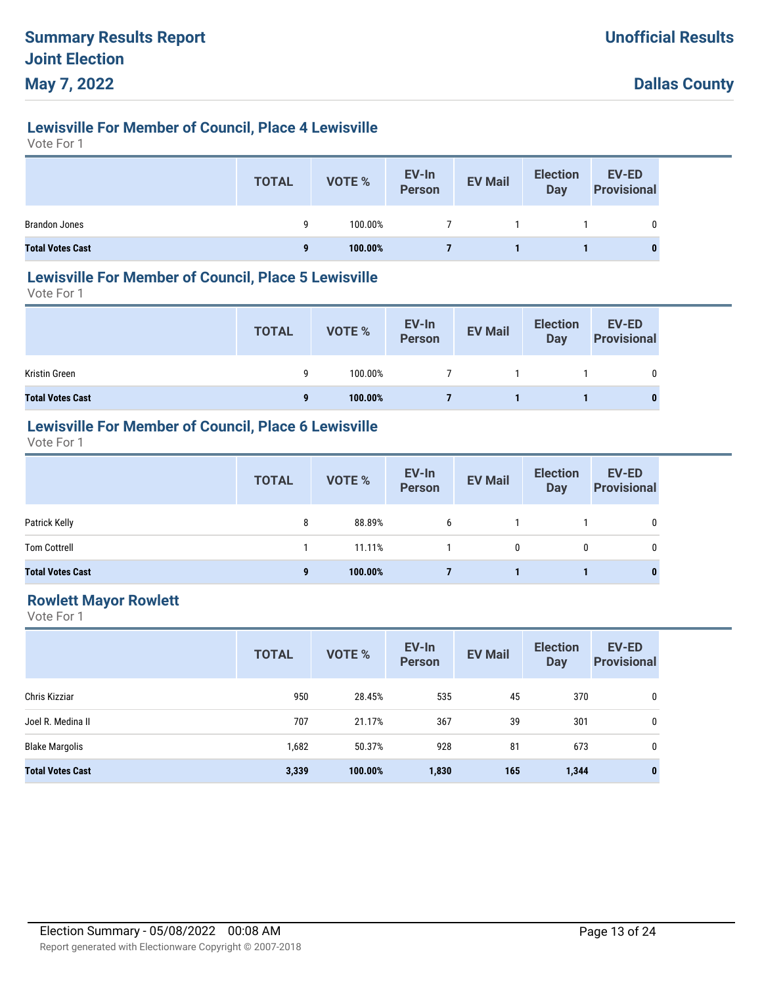# **Lewisville For Member of Council, Place 4 Lewisville**

Vote For 1

|                         | <b>TOTAL</b> | <b>VOTE %</b> | EV-In<br>Person | <b>EV Mail</b> | <b>Election</b><br>Day | <b>EV-ED</b><br><b>Provisional</b> |
|-------------------------|--------------|---------------|-----------------|----------------|------------------------|------------------------------------|
| <b>Brandon Jones</b>    | a            | 100.00%       |                 |                |                        | 0                                  |
| <b>Total Votes Cast</b> | $\mathbf{a}$ | 100.00%       |                 |                |                        |                                    |

#### **Lewisville For Member of Council, Place 5 Lewisville**

Vote For 1

|                         | <b>TOTAL</b> | VOTE %  | EV-In<br>Person | <b>EV Mail</b> | <b>Election</b><br>Day | EV-ED<br><b>Provisional</b> |
|-------------------------|--------------|---------|-----------------|----------------|------------------------|-----------------------------|
| Kristin Green           | a            | 100.00% |                 |                |                        | 0                           |
| <b>Total Votes Cast</b> | 9            | 100.00% |                 |                |                        | 0                           |

## **Lewisville For Member of Council, Place 6 Lewisville**

Vote For 1

|                         | <b>TOTAL</b> | VOTE %  | EV-In<br>Person | <b>EV Mail</b> | <b>Election</b><br><b>Day</b> | <b>EV-ED</b><br><b>Provisional</b> |
|-------------------------|--------------|---------|-----------------|----------------|-------------------------------|------------------------------------|
| Patrick Kelly           | 8            | 88.89%  | 6               |                |                               | 0                                  |
| <b>Tom Cottrell</b>     |              | 11.11%  |                 | 0              | 0                             | 0                                  |
| <b>Total Votes Cast</b> | 9            | 100.00% |                 |                |                               | $\bf{0}$                           |

## **Rowlett Mayor Rowlett**

|                         | <b>TOTAL</b> | <b>VOTE %</b> | EV-In<br><b>Person</b> | <b>EV Mail</b> | <b>Election</b><br><b>Day</b> | <b>EV-ED</b><br><b>Provisional</b> |
|-------------------------|--------------|---------------|------------------------|----------------|-------------------------------|------------------------------------|
| Chris Kizziar           | 950          | 28.45%        | 535                    | 45             | 370                           | 0                                  |
| Joel R. Medina II       | 707          | 21.17%        | 367                    | 39             | 301                           | 0                                  |
| <b>Blake Margolis</b>   | 1,682        | 50.37%        | 928                    | 81             | 673                           | 0                                  |
| <b>Total Votes Cast</b> | 3,339        | 100.00%       | 1,830                  | 165            | 1,344                         | $\mathbf{0}$                       |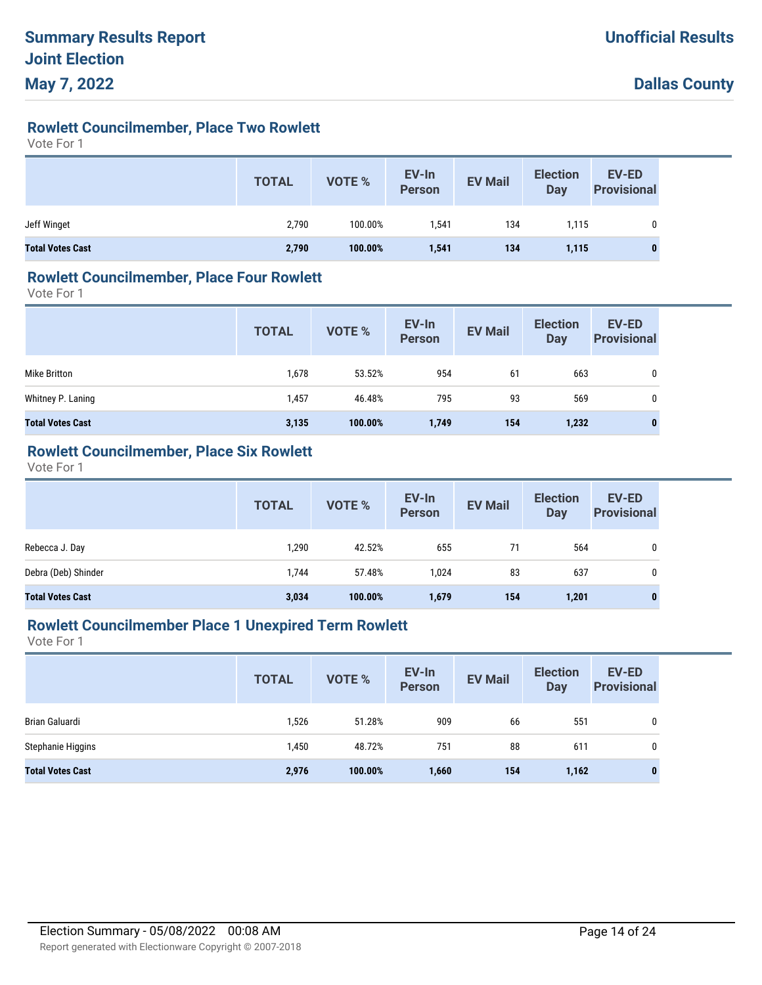# **Rowlett Councilmember, Place Two Rowlett**

Vote For 1

|                         | <b>TOTAL</b> | VOTE %  | EV-In<br>Person | <b>EV Mail</b> | <b>Election</b><br>Day | <b>EV-ED</b><br><b>Provisional</b> |
|-------------------------|--------------|---------|-----------------|----------------|------------------------|------------------------------------|
| Jeff Winget             | 2,790        | 100.00% | 1,541           | 134            | 1.115                  | 0                                  |
| <b>Total Votes Cast</b> | 2,790        | 100.00% | 1,541           | 134            | 1,115                  | $\bf{0}$                           |

#### **Rowlett Councilmember, Place Four Rowlett**

Vote For 1

|                         | <b>TOTAL</b> | <b>VOTE %</b> | EV-In<br><b>Person</b> | <b>EV Mail</b> | <b>Election</b><br><b>Day</b> | <b>EV-ED</b><br><b>Provisional</b> |
|-------------------------|--------------|---------------|------------------------|----------------|-------------------------------|------------------------------------|
| Mike Britton            | 1,678        | 53.52%        | 954                    | 61             | 663                           | 0                                  |
| Whitney P. Laning       | 1,457        | 46.48%        | 795                    | 93             | 569                           | 0                                  |
| <b>Total Votes Cast</b> | 3,135        | 100.00%       | 1,749                  | 154            | 1,232                         | 0                                  |

## **Rowlett Councilmember, Place Six Rowlett**

Vote For 1

|                         | <b>TOTAL</b> | <b>VOTE %</b> | EV-In<br>Person | <b>EV Mail</b> | <b>Election</b><br><b>Day</b> | <b>EV-ED</b><br><b>Provisional</b> |
|-------------------------|--------------|---------------|-----------------|----------------|-------------------------------|------------------------------------|
| Rebecca J. Day          | 1,290        | 42.52%        | 655             | 71             | 564                           | 0                                  |
| Debra (Deb) Shinder     | 1.744        | 57.48%        | 1.024           | 83             | 637                           | 0                                  |
| <b>Total Votes Cast</b> | 3,034        | 100.00%       | 1,679           | 154            | 1,201                         | $\bf{0}$                           |

#### **Rowlett Councilmember Place 1 Unexpired Term Rowlett**

|                         | <b>TOTAL</b> | <b>VOTE %</b> | EV-In<br><b>Person</b> | <b>EV Mail</b> | <b>Election</b><br><b>Day</b> | <b>EV-ED</b><br><b>Provisional</b> |
|-------------------------|--------------|---------------|------------------------|----------------|-------------------------------|------------------------------------|
| Brian Galuardi          | 1,526        | 51.28%        | 909                    | 66             | 551                           | 0                                  |
| Stephanie Higgins       | 1,450        | 48.72%        | 751                    | 88             | 611                           | 0                                  |
| <b>Total Votes Cast</b> | 2,976        | 100.00%       | 1,660                  | 154            | 1,162                         | $\bf{0}$                           |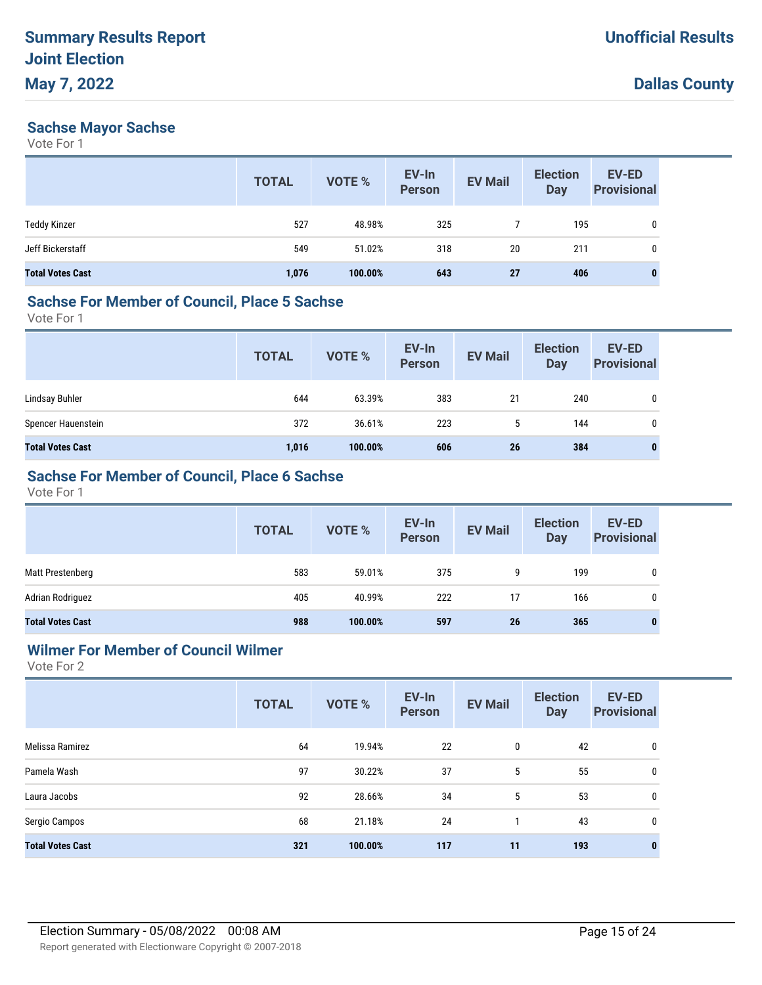#### **Sachse Mayor Sachse**

Vote For 1

|                         | <b>TOTAL</b> | <b>VOTE %</b> | EV-In<br><b>Person</b> | <b>EV Mail</b> | <b>Election</b><br><b>Day</b> | EV-ED<br><b>Provisional</b> |
|-------------------------|--------------|---------------|------------------------|----------------|-------------------------------|-----------------------------|
| <b>Teddy Kinzer</b>     | 527          | 48.98%        | 325                    |                | 195                           | 0                           |
| Jeff Bickerstaff        | 549          | 51.02%        | 318                    | 20             | 211                           | 0                           |
| <b>Total Votes Cast</b> | 1,076        | 100.00%       | 643                    | <b>27</b>      | 406                           | $\bf{0}$                    |

# **Sachse For Member of Council, Place 5 Sachse**

Vote For 1

|                         | <b>TOTAL</b> | VOTE %  | EV-In<br>Person | <b>EV Mail</b> | <b>Election</b><br><b>Day</b> | <b>EV-ED</b><br><b>Provisional</b> |
|-------------------------|--------------|---------|-----------------|----------------|-------------------------------|------------------------------------|
| Lindsay Buhler          | 644          | 63.39%  | 383             | 21             | 240                           | 0                                  |
| Spencer Hauenstein      | 372          | 36.61%  | 223             | 5              | 144                           | 0                                  |
| <b>Total Votes Cast</b> | 1,016        | 100.00% | 606             | 26             | 384                           |                                    |

## **Sachse For Member of Council, Place 6 Sachse**

Vote For 1

|                         | <b>TOTAL</b> | VOTE %  | EV-In<br>Person | <b>EV Mail</b> | <b>Election</b><br>Day | EV-ED<br><b>Provisional</b> |
|-------------------------|--------------|---------|-----------------|----------------|------------------------|-----------------------------|
| Matt Prestenberg        | 583          | 59.01%  | 375             | 9              | 199                    | $\mathbf{0}$                |
| Adrian Rodriguez        | 405          | 40.99%  | 222             | 17             | 166                    | 0                           |
| <b>Total Votes Cast</b> | 988          | 100.00% | 597             | 26             | 365                    |                             |

## **Wilmer For Member of Council Wilmer**

|                         | <b>TOTAL</b> | <b>VOTE %</b> | EV-In<br><b>Person</b> | <b>EV Mail</b> | <b>Election</b><br><b>Day</b> | EV-ED<br><b>Provisional</b> |
|-------------------------|--------------|---------------|------------------------|----------------|-------------------------------|-----------------------------|
| Melissa Ramirez         | 64           | 19.94%        | 22                     | 0              | 42                            | 0                           |
| Pamela Wash             | 97           | 30.22%        | 37                     | 5              | 55                            | 0                           |
| Laura Jacobs            | 92           | 28.66%        | 34                     | 5              | 53                            | 0                           |
| Sergio Campos           | 68           | 21.18%        | 24                     |                | 43                            | $\mathbf{0}$                |
| <b>Total Votes Cast</b> | 321          | 100.00%       | 117                    | 11             | 193                           | 0                           |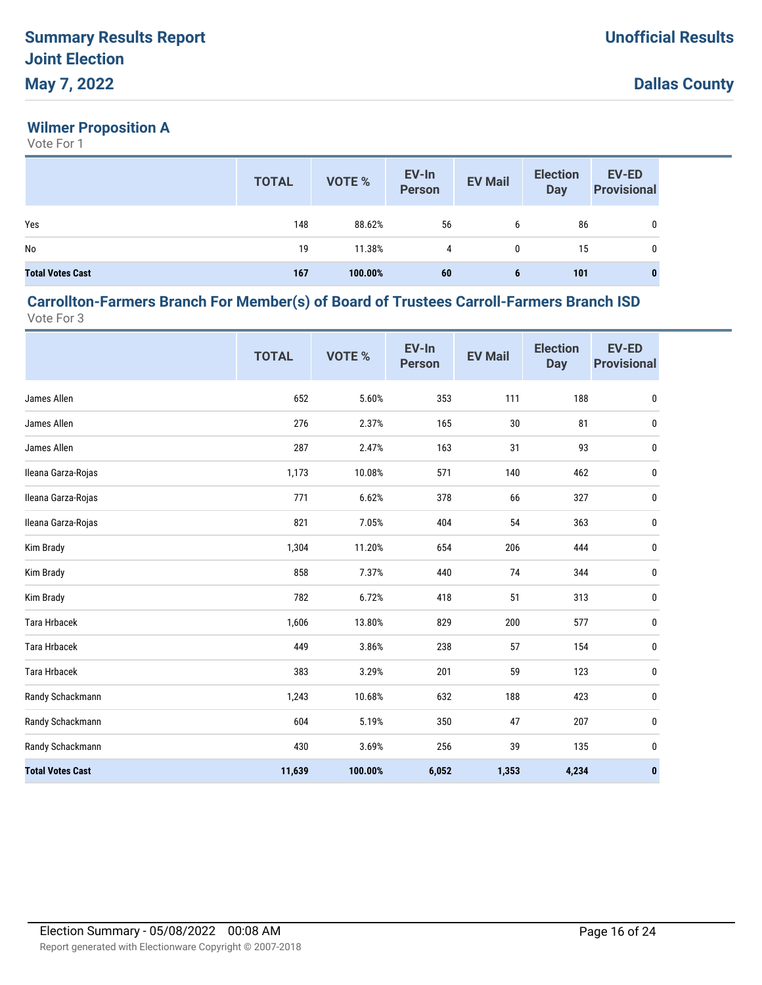# **Wilmer Proposition A**

Vote For 1

|                         | <b>TOTAL</b> | <b>VOTE %</b> | EV-In<br><b>Person</b> | <b>EV Mail</b> | <b>Election</b><br><b>Day</b> | <b>EV-ED</b><br><b>Provisional</b> |
|-------------------------|--------------|---------------|------------------------|----------------|-------------------------------|------------------------------------|
| Yes                     | 148          | 88.62%        | 56                     | 6              | 86                            | 0                                  |
| No                      | 19           | 11.38%        | 4                      | 0              | 15                            | 0                                  |
| <b>Total Votes Cast</b> | 167          | 100.00%       | 60                     | 6              | 101                           | $\bf{0}$                           |

#### **Carrollton-Farmers Branch For Member(s) of Board of Trustees Carroll-Farmers Branch ISD** Vote For 3

|                         | <b>TOTAL</b> | VOTE %  | EV-In<br><b>Person</b> | <b>EV Mail</b> | <b>Election</b><br><b>Day</b> | <b>EV-ED</b><br><b>Provisional</b> |
|-------------------------|--------------|---------|------------------------|----------------|-------------------------------|------------------------------------|
| James Allen             | 652          | 5.60%   | 353                    | 111            | 188                           | $\pmb{0}$                          |
| James Allen             | 276          | 2.37%   | 165                    | 30             | 81                            | 0                                  |
| James Allen             | 287          | 2.47%   | 163                    | 31             | 93                            | 0                                  |
| Ileana Garza-Rojas      | 1,173        | 10.08%  | 571                    | 140            | 462                           | 0                                  |
| Ileana Garza-Rojas      | 771          | 6.62%   | 378                    | 66             | 327                           | 0                                  |
| Ileana Garza-Rojas      | 821          | 7.05%   | 404                    | 54             | 363                           | 0                                  |
| Kim Brady               | 1,304        | 11.20%  | 654                    | 206            | 444                           | 0                                  |
| Kim Brady               | 858          | 7.37%   | 440                    | 74             | 344                           | 0                                  |
| Kim Brady               | 782          | 6.72%   | 418                    | 51             | 313                           | 0                                  |
| <b>Tara Hrbacek</b>     | 1,606        | 13.80%  | 829                    | 200            | 577                           | 0                                  |
| <b>Tara Hrbacek</b>     | 449          | 3.86%   | 238                    | 57             | 154                           | 0                                  |
| <b>Tara Hrbacek</b>     | 383          | 3.29%   | 201                    | 59             | 123                           | $\pmb{0}$                          |
| Randy Schackmann        | 1,243        | 10.68%  | 632                    | 188            | 423                           | $\pmb{0}$                          |
| Randy Schackmann        | 604          | 5.19%   | 350                    | 47             | 207                           | 0                                  |
| Randy Schackmann        | 430          | 3.69%   | 256                    | 39             | 135                           | 0                                  |
| <b>Total Votes Cast</b> | 11,639       | 100.00% | 6,052                  | 1,353          | 4,234                         | $\pmb{0}$                          |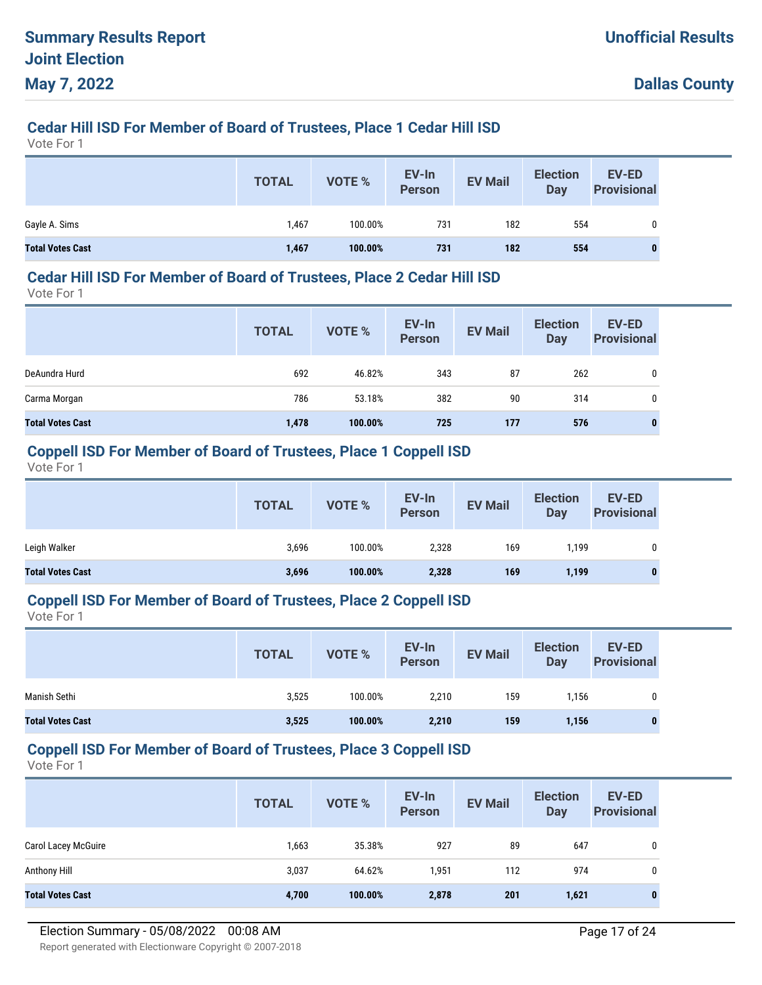# **Cedar Hill ISD For Member of Board of Trustees, Place 1 Cedar Hill ISD**

Vote For 1

|                         | <b>TOTAL</b> | VOTE %  | EV-In<br>Person | <b>EV Mail</b> | <b>Election</b><br>Day | <b>EV-ED</b><br><b>Provisional</b> |
|-------------------------|--------------|---------|-----------------|----------------|------------------------|------------------------------------|
| Gayle A. Sims           | 1,467        | 100.00% | 731             | 182            | 554                    | 0                                  |
| <b>Total Votes Cast</b> | 1,467        | 100.00% | 731             | 182            | 554                    | 0                                  |

#### **Cedar Hill ISD For Member of Board of Trustees, Place 2 Cedar Hill ISD**

Vote For 1

|                         | <b>TOTAL</b> | <b>VOTE %</b> | EV-In<br><b>Person</b> | <b>EV Mail</b> | <b>Election</b><br><b>Day</b> | <b>EV-ED</b><br><b>Provisional</b> |
|-------------------------|--------------|---------------|------------------------|----------------|-------------------------------|------------------------------------|
| DeAundra Hurd           | 692          | 46.82%        | 343                    | 87             | 262                           | 0                                  |
| Carma Morgan            | 786          | 53.18%        | 382                    | 90             | 314                           | 0                                  |
| <b>Total Votes Cast</b> | 1,478        | 100.00%       | 725                    | 177            | 576                           | 0                                  |

#### **Coppell ISD For Member of Board of Trustees, Place 1 Coppell ISD**

Vote For 1

|                         | <b>TOTAL</b> | VOTE %  | EV-In<br><b>Person</b> | <b>EV Mail</b> | <b>Election</b><br>Day | <b>EV-ED</b><br><b>Provisional</b> |
|-------------------------|--------------|---------|------------------------|----------------|------------------------|------------------------------------|
| Leigh Walker            | 3,696        | 100.00% | 2,328                  | 169            | 1.199                  |                                    |
| <b>Total Votes Cast</b> | 3,696        | 100.00% | 2,328                  | 169            | 1,199                  | 0                                  |

#### **Coppell ISD For Member of Board of Trustees, Place 2 Coppell ISD**

Vote For 1

|                         | <b>TOTAL</b> | VOTE %  | EV-In<br>Person | <b>EV Mail</b> | <b>Election</b><br>Day | EV-ED<br><b>Provisional</b> |
|-------------------------|--------------|---------|-----------------|----------------|------------------------|-----------------------------|
| Manish Sethi            | 3,525        | 100.00% | 2,210           | 159            | 1.156                  |                             |
| <b>Total Votes Cast</b> | 3,525        | 100.00% | 2,210           | 159            | 1,156                  | $\bf{0}$                    |

#### **Coppell ISD For Member of Board of Trustees, Place 3 Coppell ISD**

|                            | <b>TOTAL</b> | <b>VOTE %</b> | EV-In<br><b>Person</b> | <b>EV Mail</b> | <b>Election</b><br>Day | <b>EV-ED</b><br><b>Provisional</b> |
|----------------------------|--------------|---------------|------------------------|----------------|------------------------|------------------------------------|
| <b>Carol Lacey McGuire</b> | 1,663        | 35.38%        | 927                    | 89             | 647                    | 0                                  |
| Anthony Hill               | 3,037        | 64.62%        | 1,951                  | 112            | 974                    | 0                                  |
| <b>Total Votes Cast</b>    | 4,700        | 100.00%       | 2,878                  | 201            | 1,621                  | 0                                  |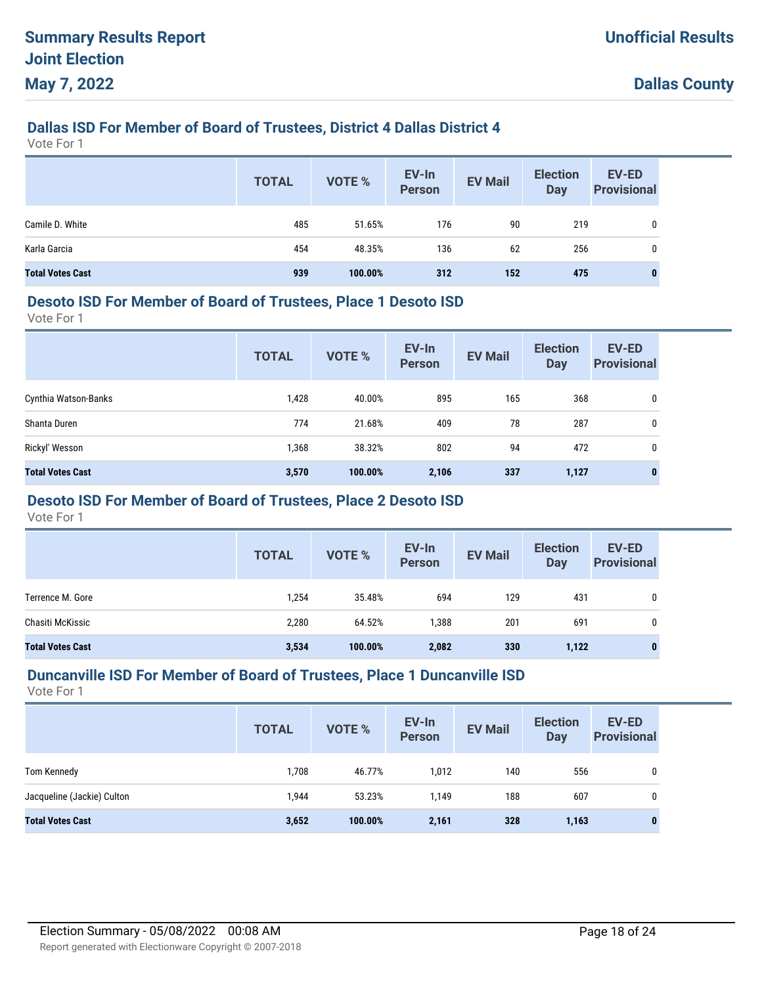# **Dallas ISD For Member of Board of Trustees, District 4 Dallas District 4**

Vote For 1

|                         | <b>TOTAL</b> | <b>VOTE %</b> | EV-In<br>Person | <b>EV Mail</b> | <b>Election</b><br><b>Day</b> | <b>EV-ED</b><br><b>Provisional</b> |
|-------------------------|--------------|---------------|-----------------|----------------|-------------------------------|------------------------------------|
| Camile D. White         | 485          | 51.65%        | 176             | 90             | 219                           | 0                                  |
| Karla Garcia            | 454          | 48.35%        | 136             | 62             | 256                           | 0                                  |
| <b>Total Votes Cast</b> | 939          | 100.00%       | 312             | 152            | 475                           | 0                                  |

#### **Desoto ISD For Member of Board of Trustees, Place 1 Desoto ISD**

Vote For 1

|                         | <b>TOTAL</b> | <b>VOTE %</b> | EV-In<br><b>Person</b> | <b>EV Mail</b> | <b>Election</b><br><b>Day</b> | <b>EV-ED</b><br><b>Provisional</b> |
|-------------------------|--------------|---------------|------------------------|----------------|-------------------------------|------------------------------------|
| Cynthia Watson-Banks    | 1,428        | 40.00%        | 895                    | 165            | 368                           | 0                                  |
| Shanta Duren            | 774          | 21.68%        | 409                    | 78             | 287                           | 0                                  |
| Rickyl' Wesson          | 1,368        | 38.32%        | 802                    | 94             | 472                           | 0                                  |
| <b>Total Votes Cast</b> | 3,570        | 100.00%       | 2,106                  | 337            | 1,127                         | 0                                  |

## **Desoto ISD For Member of Board of Trustees, Place 2 Desoto ISD**

Vote For 1

|                         | <b>TOTAL</b> | VOTE %  | EV-In<br><b>Person</b> | <b>EV Mail</b> | <b>Election</b><br><b>Day</b> | <b>EV-ED</b><br><b>Provisional</b> |
|-------------------------|--------------|---------|------------------------|----------------|-------------------------------|------------------------------------|
| Terrence M. Gore        | 1,254        | 35.48%  | 694                    | 129            | 431                           | 0                                  |
| Chasiti McKissic        | 2,280        | 64.52%  | 1,388                  | 201            | 691                           | $\mathbf{0}$                       |
| <b>Total Votes Cast</b> | 3,534        | 100.00% | 2,082                  | 330            | 1,122                         | 0                                  |

#### **Duncanville ISD For Member of Board of Trustees, Place 1 Duncanville ISD**

|                            | <b>TOTAL</b> | <b>VOTE %</b> | EV-In<br><b>Person</b> | <b>EV Mail</b> | <b>Election</b><br>Day | <b>EV-ED</b><br><b>Provisional</b> |
|----------------------------|--------------|---------------|------------------------|----------------|------------------------|------------------------------------|
| Tom Kennedy                | 1,708        | 46.77%        | 1,012                  | 140            | 556                    | 0                                  |
| Jacqueline (Jackie) Culton | 1,944        | 53.23%        | 1,149                  | 188            | 607                    | 0                                  |
| <b>Total Votes Cast</b>    | 3,652        | 100.00%       | 2,161                  | 328            | 1,163                  | 0                                  |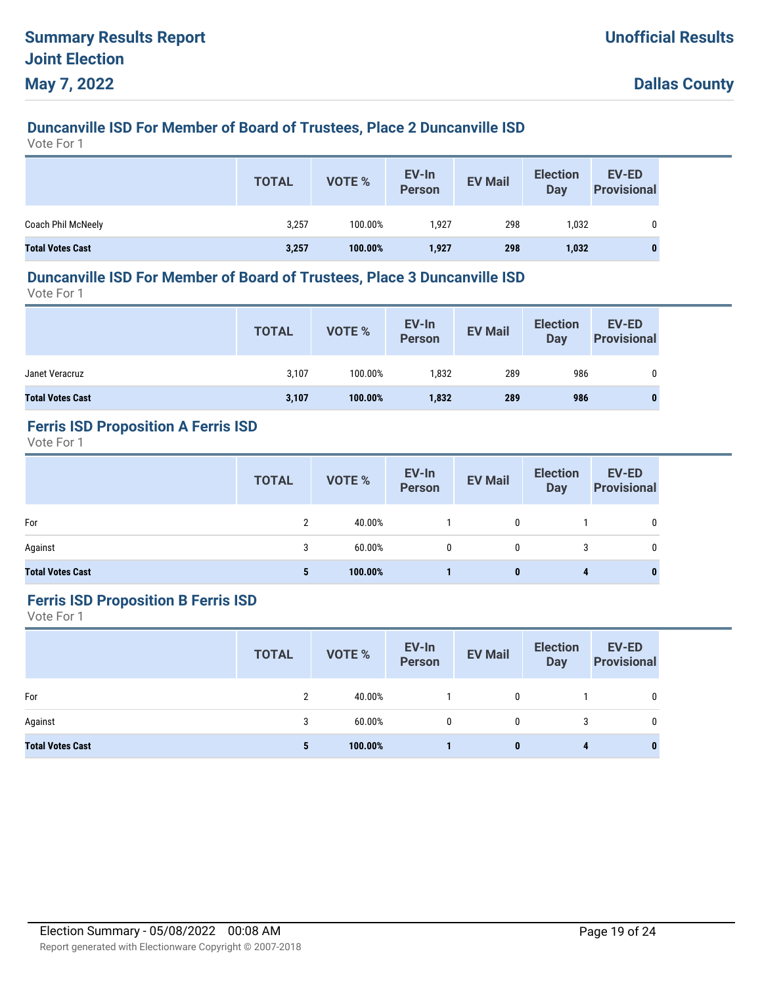# **Duncanville ISD For Member of Board of Trustees, Place 2 Duncanville ISD**

Vote For 1

|                         | <b>TOTAL</b> | <b>VOTE %</b> | EV-In<br>Person | <b>EV Mail</b> | <b>Election</b><br>Day | EV-ED<br><b>Provisional</b> |
|-------------------------|--------------|---------------|-----------------|----------------|------------------------|-----------------------------|
| Coach Phil McNeely      | 3,257        | 100.00%       | 1,927           | 298            | 1,032                  | 0                           |
| <b>Total Votes Cast</b> | 3,257        | 100.00%       | 1,927           | 298            | 1,032                  |                             |

#### **Duncanville ISD For Member of Board of Trustees, Place 3 Duncanville ISD**

Vote For 1

|                         | <b>TOTAL</b> | VOTE %  | EV-In<br>Person | <b>EV Mail</b> | <b>Election</b><br><b>Day</b> | <b>EV-ED</b><br><b>Provisional</b> |
|-------------------------|--------------|---------|-----------------|----------------|-------------------------------|------------------------------------|
| Janet Veracruz          | 3,107        | 100.00% | 1,832           | 289            | 986                           |                                    |
| <b>Total Votes Cast</b> | 3,107        | 100.00% | 1,832           | 289            | 986                           |                                    |

# **Ferris ISD Proposition A Ferris ISD**

Vote For 1

|                         | <b>TOTAL</b> | VOTE %  | EV-In<br>Person | <b>EV Mail</b> | <b>Election</b><br>Day | <b>EV-ED</b><br><b>Provisional</b> |
|-------------------------|--------------|---------|-----------------|----------------|------------------------|------------------------------------|
| For                     | C            | 40.00%  |                 | 0              |                        | 0                                  |
| Against                 | 3            | 60.00%  | $\mathbf{0}$    | 0              | 3                      | 0                                  |
| <b>Total Votes Cast</b> | 5            | 100.00% |                 | 0              | 4                      | $\bf{0}$                           |

#### **Ferris ISD Proposition B Ferris ISD**

|                         | <b>TOTAL</b> | <b>VOTE %</b> | EV-In<br>Person | <b>EV Mail</b> | <b>Election</b><br><b>Day</b> | EV-ED<br><b>Provisional</b> |
|-------------------------|--------------|---------------|-----------------|----------------|-------------------------------|-----------------------------|
| For                     | 2            | 40.00%        |                 | 0              |                               | 0                           |
| Against                 | 3            | $60.00\%$     | 0               | 0              | 3                             | 0                           |
| <b>Total Votes Cast</b> | 5            | 100.00%       |                 | 0              | 4                             | 0                           |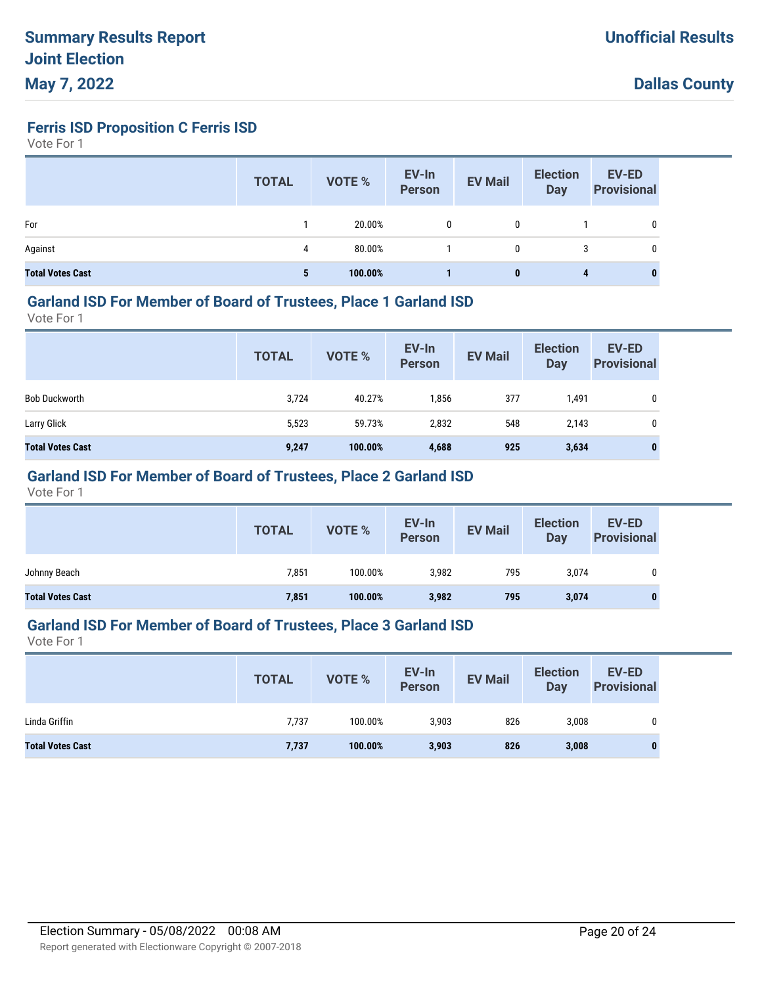**Ferris ISD Proposition C Ferris ISD**

Vote For 1

|                         | <b>TOTAL</b> | VOTE %  | EV-In<br>Person | <b>EV Mail</b> | <b>Election</b><br><b>Day</b> | <b>EV-ED</b><br><b>Provisional</b> |
|-------------------------|--------------|---------|-----------------|----------------|-------------------------------|------------------------------------|
| For                     |              | 20.00%  |                 | 0              |                               | 0                                  |
| Against                 | 4            | 80.00%  |                 | 0              | 3                             | 0                                  |
| <b>Total Votes Cast</b> | 5            | 100.00% |                 | $\bf{0}$       | 4                             | 0                                  |

#### **Garland ISD For Member of Board of Trustees, Place 1 Garland ISD**

Vote For 1

|                         | <b>TOTAL</b> | VOTE %  | EV-In<br>Person | <b>EV Mail</b> | <b>Election</b><br>Day | <b>EV-ED</b><br><b>Provisional</b> |
|-------------------------|--------------|---------|-----------------|----------------|------------------------|------------------------------------|
| <b>Bob Duckworth</b>    | 3,724        | 40.27%  | 1,856           | 377            | 1,491                  | 0                                  |
| Larry Glick             | 5,523        | 59.73%  | 2,832           | 548            | 2,143                  | 0                                  |
| <b>Total Votes Cast</b> | 9,247        | 100.00% | 4,688           | 925            | 3,634                  | $\bf{0}$                           |

## **Garland ISD For Member of Board of Trustees, Place 2 Garland ISD**

Vote For 1

|                         | <b>TOTAL</b> | VOTE %  | EV-In<br>Person | <b>EV Mail</b> | <b>Election</b><br><b>Day</b> | EV-ED<br><b>Provisional</b> |
|-------------------------|--------------|---------|-----------------|----------------|-------------------------------|-----------------------------|
| Johnny Beach            | 7,851        | 100.00% | 3,982           | 795            | 3,074                         | 0                           |
| <b>Total Votes Cast</b> | 7,851        | 100.00% | 3,982           | 795            | 3,074                         |                             |

#### **Garland ISD For Member of Board of Trustees, Place 3 Garland ISD**

|                         | <b>TOTAL</b> | VOTE %  | EV-In<br><b>Person</b> | <b>EV Mail</b> | <b>Election</b><br><b>Day</b> | EV-ED<br><b>Provisional</b> |
|-------------------------|--------------|---------|------------------------|----------------|-------------------------------|-----------------------------|
| Linda Griffin           | 7,737        | 100.00% | 3,903                  | 826            | 3,008                         |                             |
| <b>Total Votes Cast</b> | 7,737        | 100.00% | 3,903                  | 826            | 3,008                         |                             |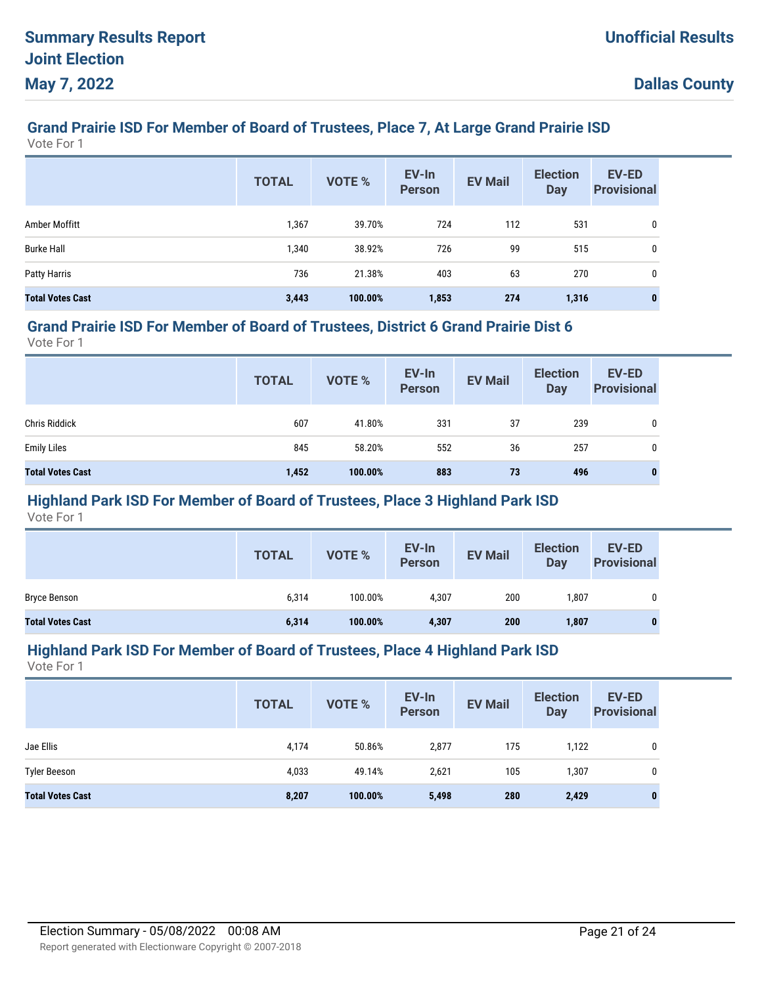# **Grand Prairie ISD For Member of Board of Trustees, Place 7, At Large Grand Prairie ISD**

Vote For 1

|                         | <b>TOTAL</b> | <b>VOTE %</b> | EV-In<br><b>Person</b> | <b>EV Mail</b> | <b>Election</b><br><b>Day</b> | <b>EV-ED</b><br><b>Provisional</b> |
|-------------------------|--------------|---------------|------------------------|----------------|-------------------------------|------------------------------------|
| Amber Moffitt           | 1,367        | 39.70%        | 724                    | 112            | 531                           | 0                                  |
| <b>Burke Hall</b>       | 1,340        | 38.92%        | 726                    | 99             | 515                           | 0                                  |
| <b>Patty Harris</b>     | 736          | 21.38%        | 403                    | 63             | 270                           | 0                                  |
| <b>Total Votes Cast</b> | 3,443        | 100.00%       | 1,853                  | 274            | 1,316                         | $\bf{0}$                           |

#### **Grand Prairie ISD For Member of Board of Trustees, District 6 Grand Prairie Dist 6**

Vote For 1

|                         | <b>TOTAL</b> | VOTE %  | EV-In<br>Person | <b>EV Mail</b> | <b>Election</b><br>Day | <b>EV-ED</b><br><b>Provisional</b> |
|-------------------------|--------------|---------|-----------------|----------------|------------------------|------------------------------------|
| <b>Chris Riddick</b>    | 607          | 41.80%  | 331             | 37             | 239                    | 0                                  |
| <b>Emily Liles</b>      | 845          | 58.20%  | 552             | 36             | 257                    | 0                                  |
| <b>Total Votes Cast</b> | 1,452        | 100.00% | 883             | 73             | 496                    | $\bf{0}$                           |

## **Highland Park ISD For Member of Board of Trustees, Place 3 Highland Park ISD**

Vote For 1

|                         | <b>TOTAL</b> | VOTE %  | EV-In<br><b>Person</b> | <b>EV Mail</b> | <b>Election</b><br><b>Day</b> | <b>EV-ED</b><br><b>Provisional</b> |
|-------------------------|--------------|---------|------------------------|----------------|-------------------------------|------------------------------------|
| Bryce Benson            | 6,314        | 100.00% | 4,307                  | 200            | ,807                          | 0                                  |
| <b>Total Votes Cast</b> | 6,314        | 100.00% | 4,307                  | 200            | 1,807                         | 0                                  |

#### **Highland Park ISD For Member of Board of Trustees, Place 4 Highland Park ISD**

|                         | <b>TOTAL</b> | <b>VOTE %</b> | EV-In<br><b>Person</b> | <b>EV Mail</b> | <b>Election</b><br>Day | <b>EV-ED</b><br><b>Provisional</b> |
|-------------------------|--------------|---------------|------------------------|----------------|------------------------|------------------------------------|
| Jae Ellis               | 4,174        | 50.86%        | 2,877                  | 175            | 1,122                  | 0                                  |
| <b>Tyler Beeson</b>     | 4,033        | 49.14%        | 2,621                  | 105            | 1,307                  | 0                                  |
| <b>Total Votes Cast</b> | 8,207        | 100.00%       | 5,498                  | 280            | 2,429                  | 0                                  |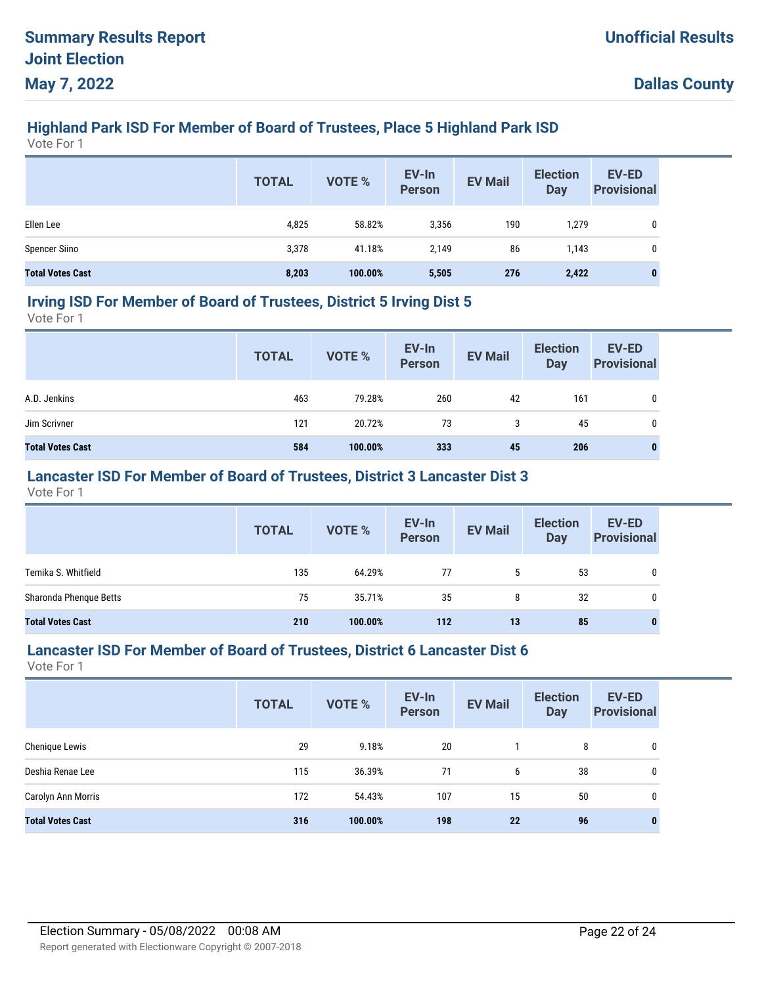# **Highland Park ISD For Member of Board of Trustees, Place 5 Highland Park ISD**

Vote For 1

|                         | <b>TOTAL</b> | VOTE %  | EV-In<br>Person | <b>EV Mail</b> | <b>Election</b><br><b>Day</b> | <b>EV-ED</b><br><b>Provisional</b> |
|-------------------------|--------------|---------|-----------------|----------------|-------------------------------|------------------------------------|
| Ellen Lee               | 4,825        | 58.82%  | 3,356           | 190            | 1,279                         | 0                                  |
| <b>Spencer Siino</b>    | 3,378        | 41.18%  | 2,149           | 86             | 1,143                         | 0                                  |
| <b>Total Votes Cast</b> | 8,203        | 100.00% | 5,505           | 276            | 2,422                         | $\bf{0}$                           |

#### **Irving ISD For Member of Board of Trustees, District 5 Irving Dist 5**

Vote For 1

|                         | <b>TOTAL</b> | VOTE %  | EV-In<br>Person | <b>EV Mail</b> | <b>Election</b><br>Day | <b>EV-ED</b><br><b>Provisional</b> |
|-------------------------|--------------|---------|-----------------|----------------|------------------------|------------------------------------|
| A.D. Jenkins            | 463          | 79.28%  | 260             | 42             | 161                    | 0                                  |
| Jim Scrivner            | 121          | 20.72%  | 73              | 3              | 45                     | 0                                  |
| <b>Total Votes Cast</b> | 584          | 100.00% | 333             | 45             | 206                    | 0                                  |

## **Lancaster ISD For Member of Board of Trustees, District 3 Lancaster Dist 3**

Vote For 1

|                         | <b>TOTAL</b> | VOTE %  | EV-In<br>Person | <b>EV Mail</b> | <b>Election</b><br>Day | <b>EV-ED</b><br><b>Provisional</b> |
|-------------------------|--------------|---------|-----------------|----------------|------------------------|------------------------------------|
| Temika S. Whitfield     | 135          | 64.29%  | 77              | 5              | 53                     | 0                                  |
| Sharonda Phenque Betts  | 75           | 35.71%  | 35              | 8              | 32                     | $\mathbf{0}$                       |
| <b>Total Votes Cast</b> | 210          | 100.00% | 112             | 13             | 85                     | 0                                  |

#### **Lancaster ISD For Member of Board of Trustees, District 6 Lancaster Dist 6**

|                         | <b>TOTAL</b> | VOTE %  | EV-In<br><b>Person</b> | <b>EV Mail</b> | <b>Election</b><br><b>Day</b> | <b>EV-ED</b><br><b>Provisional</b> |
|-------------------------|--------------|---------|------------------------|----------------|-------------------------------|------------------------------------|
| Chenique Lewis          | 29           | 9.18%   | 20                     |                | 8                             | 0                                  |
| Deshia Renae Lee        | 115          | 36.39%  | 71                     | 6              | 38                            | 0                                  |
| Carolyn Ann Morris      | 172          | 54.43%  | 107                    | 15             | 50                            | 0                                  |
| <b>Total Votes Cast</b> | 316          | 100.00% | 198                    | 22             | 96                            | $\bf{0}$                           |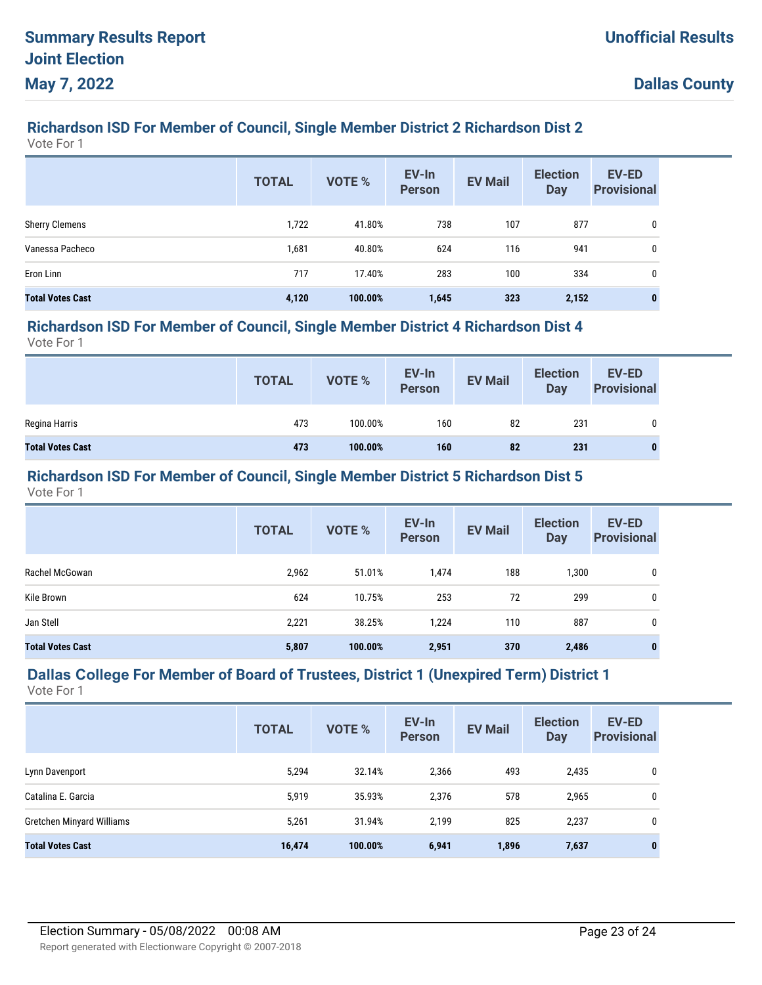# **Richardson ISD For Member of Council, Single Member District 2 Richardson Dist 2**

Vote For 1

|                         | <b>TOTAL</b> | <b>VOTE %</b> | EV-In<br><b>Person</b> | <b>EV Mail</b> | <b>Election</b><br><b>Day</b> | <b>EV-ED</b><br><b>Provisional</b> |
|-------------------------|--------------|---------------|------------------------|----------------|-------------------------------|------------------------------------|
| <b>Sherry Clemens</b>   | 1,722        | 41.80%        | 738                    | 107            | 877                           | 0                                  |
| Vanessa Pacheco         | 1,681        | 40.80%        | 624                    | 116            | 941                           | 0                                  |
| Eron Linn               | 717          | 17.40%        | 283                    | 100            | 334                           | 0                                  |
| <b>Total Votes Cast</b> | 4,120        | 100.00%       | 1,645                  | 323            | 2,152                         | 0                                  |

#### **Richardson ISD For Member of Council, Single Member District 4 Richardson Dist 4**

Vote For 1

|                         | <b>TOTAL</b> | VOTE %  | EV-In<br>Person | <b>EV Mail</b> | <b>Election</b><br><b>Day</b> | <b>EV-ED</b><br><b>Provisional</b> |
|-------------------------|--------------|---------|-----------------|----------------|-------------------------------|------------------------------------|
| Regina Harris           | 473          | 100.00% | 160             | 82             | 231                           | 0                                  |
| <b>Total Votes Cast</b> | 473          | 100.00% | 160             | 82             | 231                           |                                    |

#### **Richardson ISD For Member of Council, Single Member District 5 Richardson Dist 5**

Vote For 1

|                         | <b>TOTAL</b> | VOTE %  | EV-In<br><b>Person</b> | <b>EV Mail</b> | <b>Election</b><br>Day | <b>EV-ED</b><br><b>Provisional</b> |
|-------------------------|--------------|---------|------------------------|----------------|------------------------|------------------------------------|
| Rachel McGowan          | 2,962        | 51.01%  | 1,474                  | 188            | 1,300                  | 0                                  |
| Kile Brown              | 624          | 10.75%  | 253                    | 72             | 299                    | 0                                  |
| Jan Stell               | 2,221        | 38.25%  | 1,224                  | 110            | 887                    | 0                                  |
| <b>Total Votes Cast</b> | 5,807        | 100.00% | 2,951                  | 370            | 2,486                  | $\bf{0}$                           |

# **Dallas College For Member of Board of Trustees, District 1 (Unexpired Term) District 1**

|                           | <b>TOTAL</b> | <b>VOTE %</b> | EV-In<br><b>Person</b> | <b>EV Mail</b> | <b>Election</b><br><b>Day</b> | <b>EV-ED</b><br><b>Provisional</b> |
|---------------------------|--------------|---------------|------------------------|----------------|-------------------------------|------------------------------------|
| Lynn Davenport            | 5,294        | 32.14%        | 2,366                  | 493            | 2,435                         | 0                                  |
| Catalina E. Garcia        | 5,919        | 35.93%        | 2,376                  | 578            | 2,965                         | 0                                  |
| Gretchen Minyard Williams | 5,261        | 31.94%        | 2,199                  | 825            | 2,237                         | 0                                  |
| <b>Total Votes Cast</b>   | 16,474       | 100.00%       | 6,941                  | 1,896          | 7,637                         | $\mathbf{0}$                       |